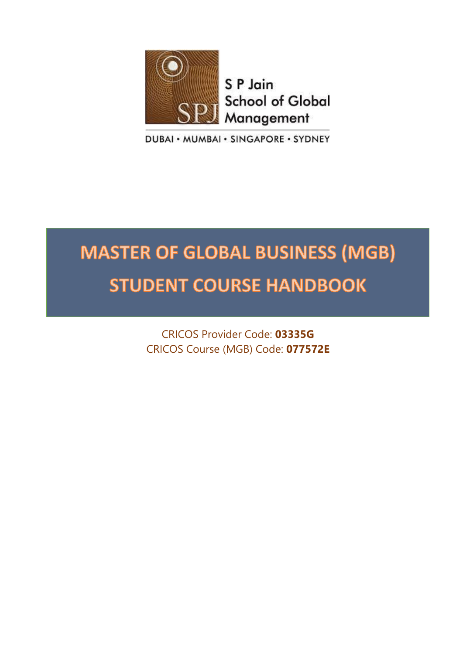

S P Jain **School of Global** Management

DUBAI · MUMBAI · SINGAPORE · SYDNEY

# **MASTER OF GLOBAL BUSINESS (MGB) STUDENT COURSE HANDBOOK**

CRICOS Provider Code: **03335G** CRICOS Course (MGB) Code: **077572E**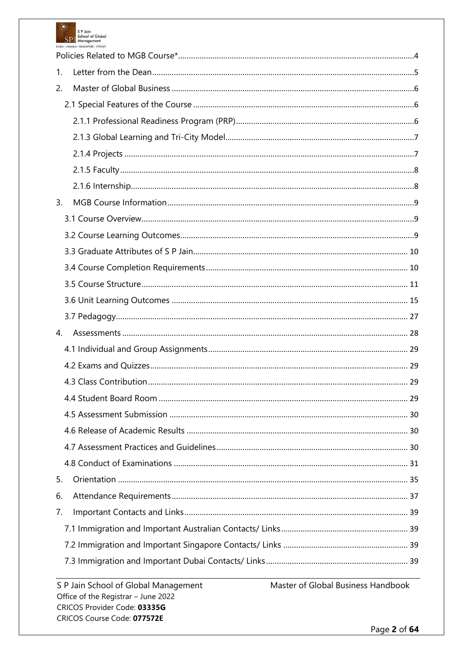

| 1. |  |
|----|--|
| 2. |  |
|    |  |
|    |  |
|    |  |
|    |  |
|    |  |
|    |  |
| 3. |  |
|    |  |
|    |  |
|    |  |
|    |  |
|    |  |
|    |  |
|    |  |
| 4. |  |
|    |  |
|    |  |
|    |  |
|    |  |
|    |  |
|    |  |
|    |  |
|    |  |
| 5. |  |
| 6. |  |
| 7. |  |
|    |  |
|    |  |
|    |  |
|    |  |

Master of Global Business Handbook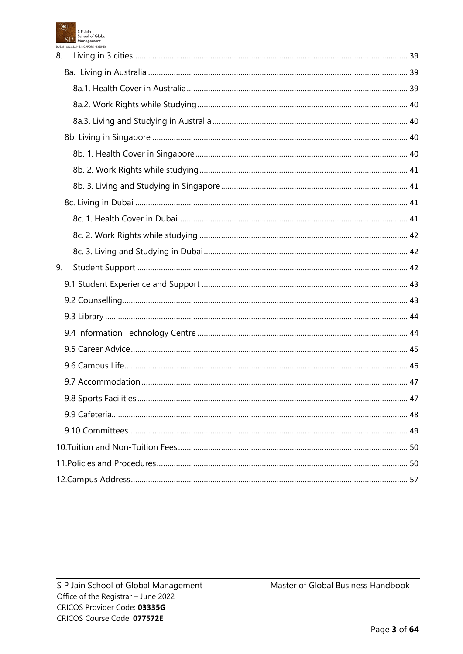

| 8. |  |
|----|--|
|    |  |
|    |  |
|    |  |
|    |  |
|    |  |
|    |  |
|    |  |
|    |  |
|    |  |
|    |  |
|    |  |
|    |  |
| 9. |  |
|    |  |
|    |  |
|    |  |
|    |  |
|    |  |
|    |  |
|    |  |
|    |  |
|    |  |
|    |  |
|    |  |
|    |  |
|    |  |

S P Jain School of Global Management Office of the Registrar - June 2022 CRICOS Provider Code: 03335G CRICOS Course Code: 077572E

Master of Global Business Handbook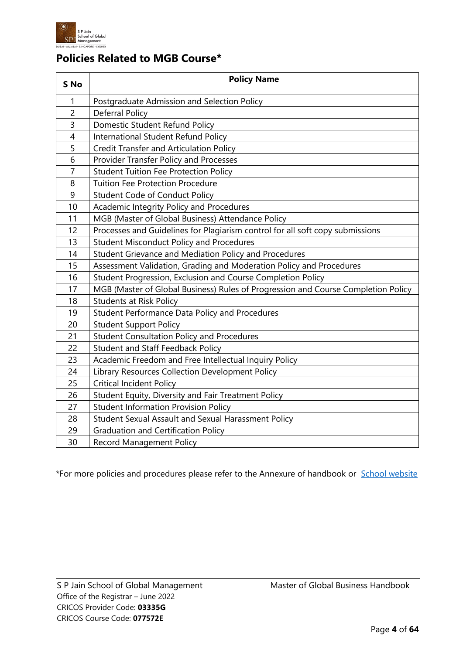

# **Policies Related to MGB Course\***

| S No           | <b>Policy Name</b>                                                                |  |  |  |  |
|----------------|-----------------------------------------------------------------------------------|--|--|--|--|
| 1              | Postgraduate Admission and Selection Policy                                       |  |  |  |  |
| $\overline{c}$ | <b>Deferral Policy</b>                                                            |  |  |  |  |
| 3              | Domestic Student Refund Policy                                                    |  |  |  |  |
| 4              | International Student Refund Policy                                               |  |  |  |  |
| 5              | <b>Credit Transfer and Articulation Policy</b>                                    |  |  |  |  |
| 6              | Provider Transfer Policy and Processes                                            |  |  |  |  |
| $\overline{7}$ | <b>Student Tuition Fee Protection Policy</b>                                      |  |  |  |  |
| 8              | <b>Tuition Fee Protection Procedure</b>                                           |  |  |  |  |
| 9              | <b>Student Code of Conduct Policy</b>                                             |  |  |  |  |
| 10             | Academic Integrity Policy and Procedures                                          |  |  |  |  |
| 11             | MGB (Master of Global Business) Attendance Policy                                 |  |  |  |  |
| 12             | Processes and Guidelines for Plagiarism control for all soft copy submissions     |  |  |  |  |
| 13             | <b>Student Misconduct Policy and Procedures</b>                                   |  |  |  |  |
| 14             | Student Grievance and Mediation Policy and Procedures                             |  |  |  |  |
| 15             | Assessment Validation, Grading and Moderation Policy and Procedures               |  |  |  |  |
| 16             | Student Progression, Exclusion and Course Completion Policy                       |  |  |  |  |
| 17             | MGB (Master of Global Business) Rules of Progression and Course Completion Policy |  |  |  |  |
| 18             | <b>Students at Risk Policy</b>                                                    |  |  |  |  |
| 19             | <b>Student Performance Data Policy and Procedures</b>                             |  |  |  |  |
| 20             | <b>Student Support Policy</b>                                                     |  |  |  |  |
| 21             | <b>Student Consultation Policy and Procedures</b>                                 |  |  |  |  |
| 22             | <b>Student and Staff Feedback Policy</b>                                          |  |  |  |  |
| 23             | Academic Freedom and Free Intellectual Inquiry Policy                             |  |  |  |  |
| 24             | Library Resources Collection Development Policy                                   |  |  |  |  |
| 25             | <b>Critical Incident Policy</b>                                                   |  |  |  |  |
| 26             | Student Equity, Diversity and Fair Treatment Policy                               |  |  |  |  |
| 27             | <b>Student Information Provision Policy</b>                                       |  |  |  |  |
| 28             | Student Sexual Assault and Sexual Harassment Policy                               |  |  |  |  |
| 29             | <b>Graduation and Certification Policy</b>                                        |  |  |  |  |
| 30             | <b>Record Management Policy</b>                                                   |  |  |  |  |

\*For more policies and procedures please refer to the Annexure of handbook or [School website](https://www.spjain.org/governance-policies)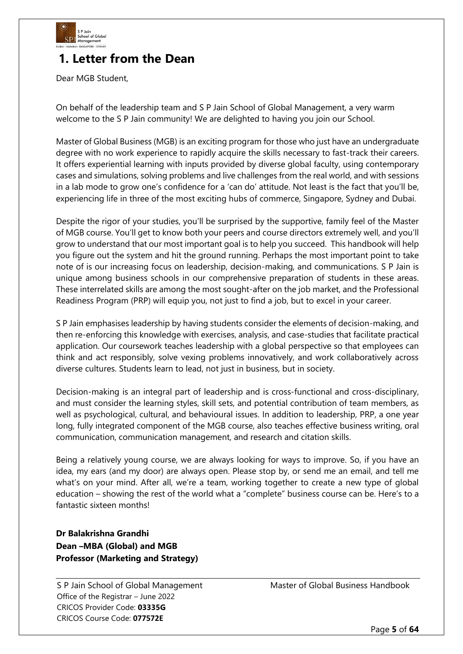

# **1. Letter from the Dean**

Dear MGB Student,

On behalf of the leadership team and S P Jain School of Global Management, a very warm welcome to the S P Jain community! We are delighted to having you join our School.

Master of Global Business (MGB) is an exciting program for those who just have an undergraduate degree with no work experience to rapidly acquire the skills necessary to fast-track their careers. It offers experiential learning with inputs provided by diverse global faculty, using contemporary cases and simulations, solving problems and live challenges from the real world, and with sessions in a lab mode to grow one's confidence for a 'can do' attitude. Not least is the fact that you'll be, experiencing life in three of the most exciting hubs of commerce, Singapore, Sydney and Dubai.

Despite the rigor of your studies, you'll be surprised by the supportive, family feel of the Master of MGB course. You'll get to know both your peers and course directors extremely well, and you'll grow to understand that our most important goal is to help you succeed. This handbook will help you figure out the system and hit the ground running. Perhaps the most important point to take note of is our increasing focus on leadership, decision-making, and communications. S P Jain is unique among business schools in our comprehensive preparation of students in these areas. These interrelated skills are among the most sought-after on the job market, and the Professional Readiness Program (PRP) will equip you, not just to find a job, but to excel in your career.

S P Jain emphasises leadership by having students consider the elements of decision-making, and then re-enforcing this knowledge with exercises, analysis, and case-studies that facilitate practical application. Our coursework teaches leadership with a global perspective so that employees can think and act responsibly, solve vexing problems innovatively, and work collaboratively across diverse cultures. Students learn to lead, not just in business, but in society.

Decision-making is an integral part of leadership and is cross-functional and cross-disciplinary, and must consider the learning styles, skill sets, and potential contribution of team members, as well as psychological, cultural, and behavioural issues. In addition to leadership, PRP, a one year long, fully integrated component of the MGB course, also teaches effective business writing, oral communication, communication management, and research and citation skills.

Being a relatively young course, we are always looking for ways to improve. So, if you have an idea, my ears (and my door) are always open. Please stop by, or send me an email, and tell me what's on your mind. After all, we're a team, working together to create a new type of global education – showing the rest of the world what a "complete" business course can be. Here's to a fantastic sixteen months!

# **Dr Balakrishna Grandhi Dean –MBA (Global) and MGB Professor (Marketing and Strategy)**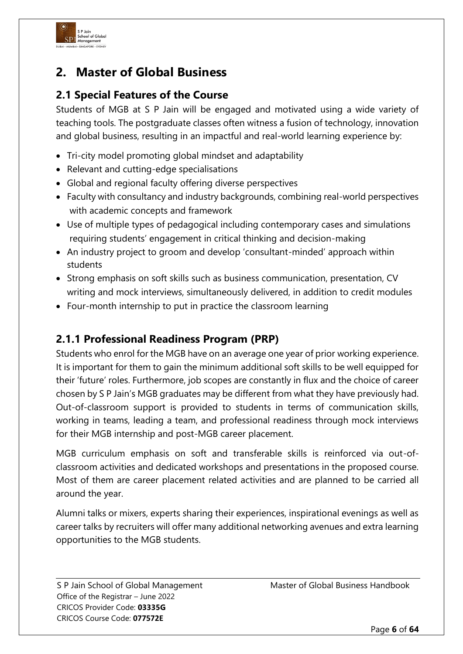

# **2. Master of Global Business**

# **2.1 Special Features of the Course**

Students of MGB at S P Jain will be engaged and motivated using a wide variety of teaching tools. The postgraduate classes often witness a fusion of technology, innovation and global business, resulting in an impactful and real-world learning experience by:

- Tri-city model promoting global mindset and adaptability
- Relevant and cutting-edge specialisations
- Global and regional faculty offering diverse perspectives
- Faculty with consultancy and industry backgrounds, combining real-world perspectives with academic concepts and framework
- Use of multiple types of pedagogical including contemporary cases and simulations requiring students' engagement in critical thinking and decision-making
- An industry project to groom and develop 'consultant-minded' approach within students
- Strong emphasis on soft skills such as business communication, presentation, CV writing and mock interviews, simultaneously delivered, in addition to credit modules
- Four-month internship to put in practice the classroom learning

# **2.1.1 Professional Readiness Program (PRP)**

Students who enrol for the MGB have on an average one year of prior working experience. It is important for them to gain the minimum additional soft skills to be well equipped for their 'future' roles. Furthermore, job scopes are constantly in flux and the choice of career chosen by S P Jain's MGB graduates may be different from what they have previously had. Out-of-classroom support is provided to students in terms of communication skills, working in teams, leading a team, and professional readiness through mock interviews for their MGB internship and post-MGB career placement.

MGB curriculum emphasis on soft and transferable skills is reinforced via out-ofclassroom activities and dedicated workshops and presentations in the proposed course. Most of them are career placement related activities and are planned to be carried all around the year.

Alumni talks or mixers, experts sharing their experiences, inspirational evenings as well as career talks by recruiters will offer many additional networking avenues and extra learning opportunities to the MGB students.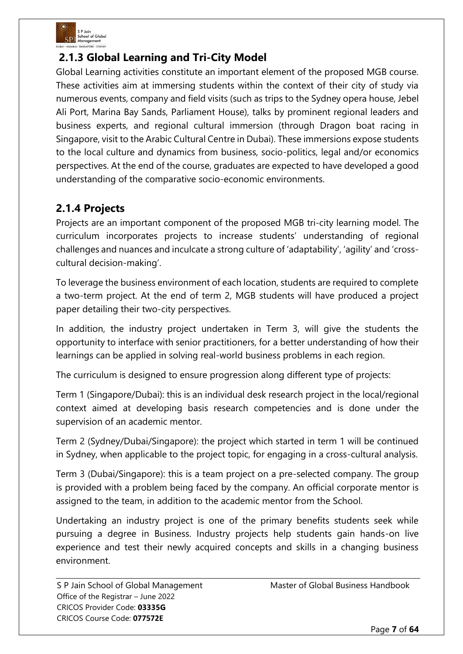

# **2.1.3 Global Learning and Tri-City Model**

Global Learning activities constitute an important element of the proposed MGB course. These activities aim at immersing students within the context of their city of study via numerous events, company and field visits (such as trips to the Sydney opera house, Jebel Ali Port, Marina Bay Sands, Parliament House), talks by prominent regional leaders and business experts, and regional cultural immersion (through Dragon boat racing in Singapore, visit to the Arabic Cultural Centre in Dubai). These immersions expose students to the local culture and dynamics from business, socio-politics, legal and/or economics perspectives. At the end of the course, graduates are expected to have developed a good understanding of the comparative socio-economic environments.

# **2.1.4 Projects**

Projects are an important component of the proposed MGB tri-city learning model. The curriculum incorporates projects to increase students' understanding of regional challenges and nuances and inculcate a strong culture of 'adaptability', 'agility' and 'crosscultural decision-making'.

To leverage the business environment of each location, students are required to complete a two-term project. At the end of term 2, MGB students will have produced a project paper detailing their two-city perspectives.

In addition, the industry project undertaken in Term 3, will give the students the opportunity to interface with senior practitioners, for a better understanding of how their learnings can be applied in solving real-world business problems in each region.

The curriculum is designed to ensure progression along different type of projects:

Term 1 (Singapore/Dubai): this is an individual desk research project in the local/regional context aimed at developing basis research competencies and is done under the supervision of an academic mentor.

Term 2 (Sydney/Dubai/Singapore): the project which started in term 1 will be continued in Sydney, when applicable to the project topic, for engaging in a cross-cultural analysis.

Term 3 (Dubai/Singapore): this is a team project on a pre-selected company. The group is provided with a problem being faced by the company. An official corporate mentor is assigned to the team, in addition to the academic mentor from the School.

Undertaking an industry project is one of the primary benefits students seek while pursuing a degree in Business. Industry projects help students gain hands-on live experience and test their newly acquired concepts and skills in a changing business environment.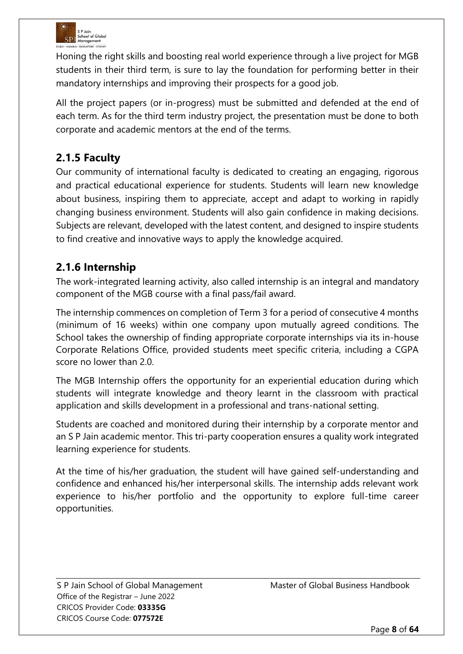

Honing the right skills and boosting real world experience through a live project for MGB students in their third term, is sure to lay the foundation for performing better in their mandatory internships and improving their prospects for a good job.

All the project papers (or in-progress) must be submitted and defended at the end of each term. As for the third term industry project, the presentation must be done to both corporate and academic mentors at the end of the terms.

# **2.1.5 Faculty**

Our community of international faculty is dedicated to creating an engaging, rigorous and practical educational experience for students. Students will learn new knowledge about business, inspiring them to appreciate, accept and adapt to working in rapidly changing business environment. Students will also gain confidence in making decisions. Subjects are relevant, developed with the latest content, and designed to inspire students to find creative and innovative ways to apply the knowledge acquired.

# **2.1.6 Internship**

The work-integrated learning activity, also called internship is an integral and mandatory component of the MGB course with a final pass/fail award.

The internship commences on completion of Term 3 for a period of consecutive 4 months (minimum of 16 weeks) within one company upon mutually agreed conditions. The School takes the ownership of finding appropriate corporate internships via its in-house Corporate Relations Office, provided students meet specific criteria, including a CGPA score no lower than 2.0.

The MGB Internship offers the opportunity for an experiential education during which students will integrate knowledge and theory learnt in the classroom with practical application and skills development in a professional and trans-national setting.

Students are coached and monitored during their internship by a corporate mentor and an S P Jain academic mentor. This tri-party cooperation ensures a quality work integrated learning experience for students.

At the time of his/her graduation, the student will have gained self-understanding and confidence and enhanced his/her interpersonal skills. The internship adds relevant work experience to his/her portfolio and the opportunity to explore full-time career opportunities.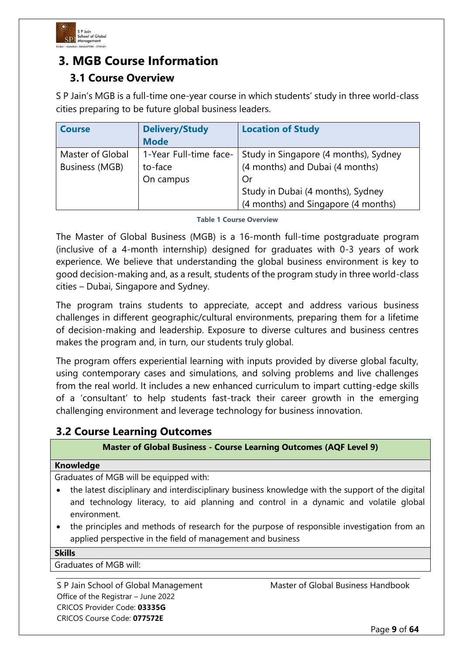

# **3. MGB Course Information 3.1 Course Overview**

S P Jain's MGB is a full-time one-year course in which students' study in three world-class cities preparing to be future global business leaders.

| <b>Course</b>         | <b>Delivery/Study</b>  | <b>Location of Study</b>              |
|-----------------------|------------------------|---------------------------------------|
|                       | <b>Mode</b>            |                                       |
| Master of Global      | 1-Year Full-time face- | Study in Singapore (4 months), Sydney |
| <b>Business (MGB)</b> | to-face                | (4 months) and Dubai (4 months)       |
|                       | On campus              | Or                                    |
|                       |                        | Study in Dubai (4 months), Sydney     |
|                       |                        | (4 months) and Singapore (4 months)   |

**Table 1 Course Overview**

The Master of Global Business (MGB) is a 16-month full-time postgraduate program (inclusive of a 4-month internship) designed for graduates with 0-3 years of work experience. We believe that understanding the global business environment is key to good decision-making and, as a result, students of the program study in three world-class cities – Dubai, Singapore and Sydney.

The program trains students to appreciate, accept and address various business challenges in different geographic/cultural environments, preparing them for a lifetime of decision-making and leadership. Exposure to diverse cultures and business centres makes the program and, in turn, our students truly global.

The program offers experiential learning with inputs provided by diverse global faculty, using contemporary cases and simulations, and solving problems and live challenges from the real world. It includes a new enhanced curriculum to impart cutting-edge skills of a 'consultant' to help students fast-track their career growth in the emerging challenging environment and leverage technology for business innovation.

# **3.2 Course Learning Outcomes**

### **Master of Global Business - Course Learning Outcomes (AQF Level 9)**

#### **Knowledge**

Graduates of MGB will be equipped with:

- the latest disciplinary and interdisciplinary business knowledge with the support of the digital and technology literacy, to aid planning and control in a dynamic and volatile global environment.
- the principles and methods of research for the purpose of responsible investigation from an applied perspective in the field of management and business

| Skills |
|--------|
|--------|

Graduates of MGB will: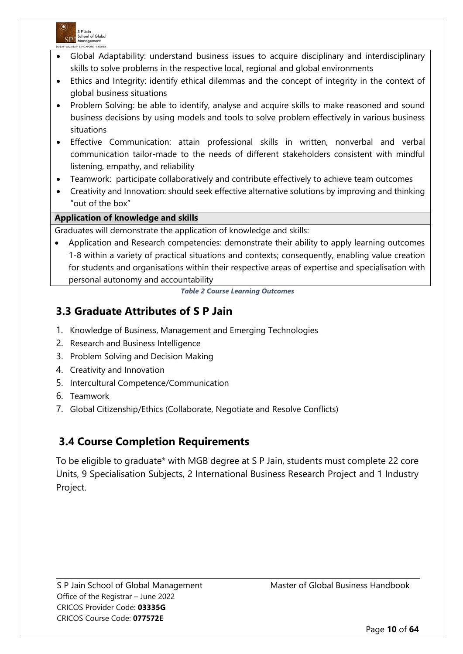

- Global Adaptability: understand business issues to acquire disciplinary and interdisciplinary skills to solve problems in the respective local, regional and global environments
- Ethics and Integrity: identify ethical dilemmas and the concept of integrity in the context of global business situations
- Problem Solving: be able to identify, analyse and acquire skills to make reasoned and sound business decisions by using models and tools to solve problem effectively in various business situations
- Effective Communication: attain professional skills in written, nonverbal and verbal communication tailor-made to the needs of different stakeholders consistent with mindful listening, empathy, and reliability
- Teamwork: participate collaboratively and contribute effectively to achieve team outcomes
- Creativity and Innovation: should seek effective alternative solutions by improving and thinking "out of the box"

#### **Application of knowledge and skills**

Graduates will demonstrate the application of knowledge and skills:

• Application and Research competencies: demonstrate their ability to apply learning outcomes 1-8 within a variety of practical situations and contexts; consequently, enabling value creation for students and organisations within their respective areas of expertise and specialisation with personal autonomy and accountability

*Table 2 Course Learning Outcomes*

# **3.3 Graduate Attributes of S P Jain**

- 1. Knowledge of Business, Management and Emerging Technologies
- 2. Research and Business Intelligence
- 3. Problem Solving and Decision Making
- 4. Creativity and Innovation
- 5. Intercultural Competence/Communication
- 6. Teamwork
- 7. Global Citizenship/Ethics (Collaborate, Negotiate and Resolve Conflicts)

# **3.4 Course Completion Requirements**

To be eligible to graduate\* with MGB degree at S P Jain, students must complete 22 core Units, 9 Specialisation Subjects, 2 International Business Research Project and 1 Industry Project.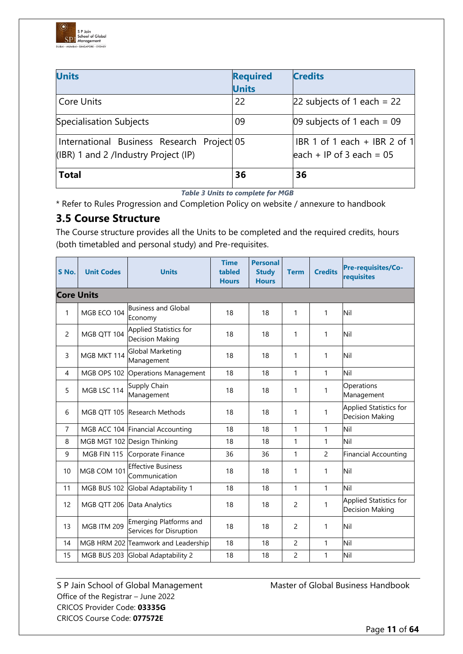

| <b>Units</b>                                                                       | <b>Required</b><br><b>Units</b> | <b>Credits</b>                                              |
|------------------------------------------------------------------------------------|---------------------------------|-------------------------------------------------------------|
| Core Units                                                                         | 22                              | $22$ subjects of 1 each = 22                                |
| Specialisation Subjects                                                            | 09                              | 09 subjects of 1 each = $09$                                |
| International Business Research Project 05<br>(IBR) 1 and 2 /Industry Project (IP) |                                 | IBR 1 of 1 each + IBR 2 of 1<br>leach + IP of 3 each = $05$ |
| <b>Total</b>                                                                       | 36                              | 36                                                          |

*Table 3 Units to complete for MGB*

\* Refer to Rules Progression and Completion Policy on website / annexure to handbook

# **3.5 Course Structure**

The Course structure provides all the Units to be completed and the required credits, hours (both timetabled and personal study) and Pre-requisites.

| S No.             | <b>Unit Codes</b> | <b>Units</b>                                      | <b>Time</b><br>tabled<br><b>Hours</b> | <b>Personal</b><br><b>Study</b><br><b>Hours</b> | <b>Term</b>    | <b>Credits</b> | Pre-requisites/Co-<br>requisites                 |
|-------------------|-------------------|---------------------------------------------------|---------------------------------------|-------------------------------------------------|----------------|----------------|--------------------------------------------------|
| <b>Core Units</b> |                   |                                                   |                                       |                                                 |                |                |                                                  |
| 1                 | MGB ECO 104       | Business and Global<br>Economy                    | 18                                    | 18                                              | 1              | $\mathbf{1}$   | Nil                                              |
| $\overline{2}$    | MGB QTT 104       | Applied Statistics for<br><b>Decision Making</b>  | 18                                    | 18                                              | 1              | $\mathbf{1}$   | Nil                                              |
| 3                 | MGB MKT 114       | <b>Global Marketing</b><br>Management             | 18                                    | 18                                              | 1              | $\mathbf{1}$   | Nil                                              |
| $\overline{4}$    | MGB OPS 102       | Operations Management                             | 18                                    | 18                                              | $\mathbf{1}$   | 1              | Nil                                              |
| 5                 | MGB LSC 114       | Supply Chain<br>Management                        | 18                                    | 18                                              | 1              | 1              | Operations<br>Management                         |
| 6                 |                   | MGB OTT 105 Research Methods                      | 18                                    | 18                                              | 1              | $\mathbf{1}$   | Applied Statistics for<br><b>Decision Making</b> |
| $\overline{7}$    |                   | MGB ACC 104 Financial Accounting                  | 18                                    | 18                                              | $\mathbf{1}$   | 1              | Nil                                              |
| 8                 |                   | MGB MGT 102 Design Thinking                       | 18                                    | 18                                              | $\mathbf{1}$   | $\mathbf{1}$   | Nil                                              |
| 9                 | MGB FIN 115       | Corporate Finance                                 | 36                                    | 36                                              | 1              | $\overline{c}$ | <b>Financial Accounting</b>                      |
| 10                | MGB COM 101       | <b>Effective Business</b><br>Communication        | 18                                    | 18                                              | 1              | $\mathbf{1}$   | Nil                                              |
| 11                | MGB BUS 102       | Global Adaptability 1                             | 18                                    | 18                                              | $\mathbf{1}$   | $\mathbf{1}$   | Nil                                              |
| 12                | MGB QTT 206       | Data Analytics                                    | 18                                    | 18                                              | 2              | 1              | Applied Statistics for<br><b>Decision Making</b> |
| 13                | MGB ITM 209       | Emerging Platforms and<br>Services for Disruption | 18                                    | 18                                              | $\overline{c}$ | 1              | Nil                                              |
| 14                |                   | MGB HRM 202 Teamwork and Leadership               | 18                                    | 18                                              | $\overline{2}$ | $\mathbf{1}$   | Nil                                              |
| 15                | MGB BUS 203       | Global Adaptability 2                             | 18                                    | 18                                              | 2              | 1              | Nil                                              |

Office of the Registrar – June 2022 CRICOS Provider Code: **03335G** CRICOS Course Code: **077572E**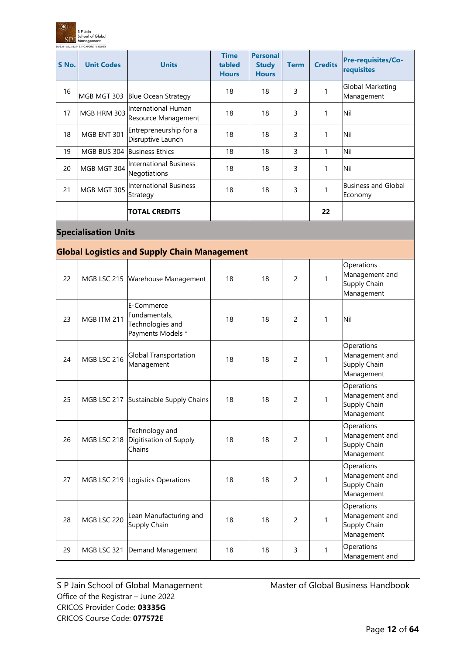| ◡<br><b>SPJ</b> | S P Jain<br><b>School of Global</b><br>Management<br>DUBAI . MUMBAI . SINGAPORE . SYDNEY |                                                                      |                                       |                                                 |                |                |                                                            |
|-----------------|------------------------------------------------------------------------------------------|----------------------------------------------------------------------|---------------------------------------|-------------------------------------------------|----------------|----------------|------------------------------------------------------------|
| S No.           | <b>Unit Codes</b>                                                                        | <b>Units</b>                                                         | <b>Time</b><br>tabled<br><b>Hours</b> | <b>Personal</b><br><b>Study</b><br><b>Hours</b> | <b>Term</b>    | <b>Credits</b> | <b>Pre-requisites/Co-</b><br>requisites                    |
| 16              |                                                                                          | MGB MGT 303 Blue Ocean Strategy                                      | 18                                    | 18                                              | 3              | 1              | Global Marketing<br>Management                             |
| 17              | MGB HRM 303                                                                              | International Human<br>Resource Management                           | 18                                    | 18                                              | 3              | 1              | Nil                                                        |
| 18              | MGB ENT 301                                                                              | Entrepreneurship for a<br>Disruptive Launch                          | 18                                    | 18                                              | 3              | 1              | Nil                                                        |
| 19              |                                                                                          | MGB BUS 304 Business Ethics                                          | 18                                    | 18                                              | 3              | 1              | Nil                                                        |
| 20              | MGB MGT 304                                                                              | International Business<br>Negotiations                               | 18                                    | 18                                              | 3              | 1              | Nil                                                        |
| 21              | MGB MGT 305                                                                              | International Business<br>Strategy                                   | 18                                    | 18                                              | 3              | 1              | <b>Business and Global</b><br>Economy                      |
|                 |                                                                                          | <b>TOTAL CREDITS</b>                                                 |                                       |                                                 |                | 22             |                                                            |
|                 | <b>Specialisation Units</b>                                                              |                                                                      |                                       |                                                 |                |                |                                                            |
|                 |                                                                                          | <b>Global Logistics and Supply Chain Management</b>                  |                                       |                                                 |                |                |                                                            |
| 22              |                                                                                          | MGB LSC 215 Warehouse Management                                     | 18                                    | 18                                              | $\overline{c}$ | 1              | Operations<br>Management and<br>Supply Chain<br>Management |
| 23              | MGB ITM 211                                                                              | E-Commerce<br>Fundamentals,<br>Technologies and<br>Payments Models * | 18                                    | 18                                              | 2              | 1              | Nil                                                        |
| 24              | MGB LSC 216                                                                              | <b>Global Transportation</b><br>Management                           | 18                                    | 18                                              | $\overline{c}$ | 1              | Operations<br>Management and<br>Supply Chain<br>Management |
| 25              |                                                                                          | MGB LSC 217 Sustainable Supply Chains                                | 18                                    | 18                                              | $\overline{c}$ | 1              | Operations<br>Management and<br>Supply Chain<br>Management |
| 26              | MGB LSC 218                                                                              | Technology and<br>Digitisation of Supply<br>Chains                   | 18                                    | 18                                              | $\overline{c}$ | 1              | Operations<br>Management and<br>Supply Chain<br>Management |
| 27              |                                                                                          | MGB LSC 219 Logistics Operations                                     | 18                                    | 18                                              | 2              | 1              | Operations<br>Management and<br>Supply Chain<br>Management |
| 28              | MGB LSC 220                                                                              | Lean Manufacturing and<br>Supply Chain                               | 18                                    | 18                                              | $\overline{c}$ | 1              | Operations<br>Management and<br>Supply Chain<br>Management |
| 29              |                                                                                          | MGB LSC 321 Demand Management                                        | 18                                    | 18                                              | 3              | $\mathbf{1}$   | Operations<br>Management and                               |

 $\circ$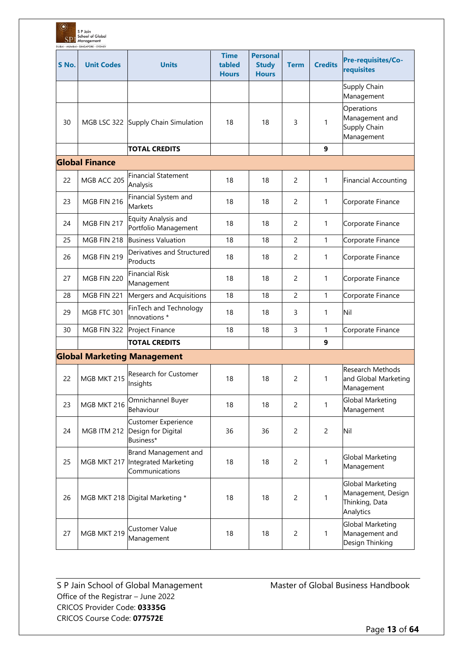| $\circledcirc$ | S P Jain<br><b>School of Global</b><br><b>SP</b> Management<br>DUBAI · MUMBAI · SINGAPORE · SYDNEY |                                                                |                                       |                                                 |                |                |                                                                              |
|----------------|----------------------------------------------------------------------------------------------------|----------------------------------------------------------------|---------------------------------------|-------------------------------------------------|----------------|----------------|------------------------------------------------------------------------------|
| S No.          | <b>Unit Codes</b>                                                                                  | <b>Units</b>                                                   | <b>Time</b><br>tabled<br><b>Hours</b> | <b>Personal</b><br><b>Study</b><br><b>Hours</b> | <b>Term</b>    | <b>Credits</b> | Pre-requisites/Co-<br>requisites                                             |
|                |                                                                                                    |                                                                |                                       |                                                 |                |                | Supply Chain<br>Management                                                   |
| 30             |                                                                                                    | MGB LSC 322 Supply Chain Simulation                            | 18                                    | 18                                              | 3              | 1              | Operations<br>Management and<br>Supply Chain<br>Management                   |
|                |                                                                                                    | <b>TOTAL CREDITS</b>                                           |                                       |                                                 |                | 9              |                                                                              |
|                | <b>Global Finance</b>                                                                              |                                                                |                                       |                                                 |                |                |                                                                              |
| 22             | MGB ACC 205                                                                                        | <b>Financial Statement</b><br>Analysis                         | 18                                    | 18                                              | $\overline{c}$ | 1              | <b>Financial Accounting</b>                                                  |
| 23             | MGB FIN 216                                                                                        | Financial System and<br><b>Markets</b>                         | 18                                    | 18                                              | $\overline{2}$ | 1              | Corporate Finance                                                            |
| 24             | MGB FIN 217                                                                                        | Equity Analysis and<br>Portfolio Management                    | 18                                    | 18                                              | 2              | 1              | Corporate Finance                                                            |
| 25             | MGB FIN 218                                                                                        | <b>Business Valuation</b>                                      | 18                                    | 18                                              | $\overline{c}$ | 1              | Corporate Finance                                                            |
| 26             | MGB FIN 219                                                                                        | Derivatives and Structured<br>Products                         | 18                                    | 18                                              | $\overline{c}$ | 1              | Corporate Finance                                                            |
| 27             | MGB FIN 220                                                                                        | <b>Financial Risk</b><br>Management                            | 18                                    | 18                                              | 2              | 1              | Corporate Finance                                                            |
| 28             | MGB FIN 221                                                                                        | Mergers and Acquisitions                                       | 18                                    | 18                                              | $\overline{c}$ | 1              | Corporate Finance                                                            |
| 29             | MGB FTC 301                                                                                        | FinTech and Technology<br>Innovations *                        | 18                                    | 18                                              | 3              | 1              | Nil                                                                          |
| 30             | MGB FIN 322                                                                                        | Project Finance                                                | 18                                    | 18                                              | 3              | 1              | Corporate Finance                                                            |
|                |                                                                                                    | <b>TOTAL CREDITS</b>                                           |                                       |                                                 |                | 9              |                                                                              |
|                |                                                                                                    | <b>Global Marketing Management</b>                             |                                       |                                                 |                |                |                                                                              |
| 22             | MGB MKT 215                                                                                        | Research for Customer<br>Insights                              | 18                                    | 18                                              | $\overline{c}$ | 1              | Research Methods<br>and Global Marketing<br>Management                       |
| 23             | MGB MKT 216                                                                                        | Omnichannel Buyer<br>Behaviour                                 | 18                                    | 18                                              | $\overline{2}$ | 1              | Global Marketing<br>Management                                               |
| 24             | MGB ITM 212                                                                                        | <b>Customer Experience</b><br>Design for Digital<br>Business*  | 36                                    | 36                                              | $\overline{2}$ | $\overline{2}$ | Nil                                                                          |
| 25             | MGB MKT 217                                                                                        | Brand Management and<br>Integrated Marketing<br>Communications | 18                                    | 18                                              | $\overline{2}$ | 1              | Global Marketing<br>Management                                               |
| 26             |                                                                                                    | MGB MKT 218 Digital Marketing *                                | 18                                    | 18                                              | $\overline{c}$ | 1              | <b>Global Marketing</b><br>Management, Design<br>Thinking, Data<br>Analytics |
| 27             | MGB MKT 219                                                                                        | <b>Customer Value</b><br>Management                            | 18                                    | 18                                              | $\overline{c}$ | 1              | Global Marketing<br>Management and<br>Design Thinking                        |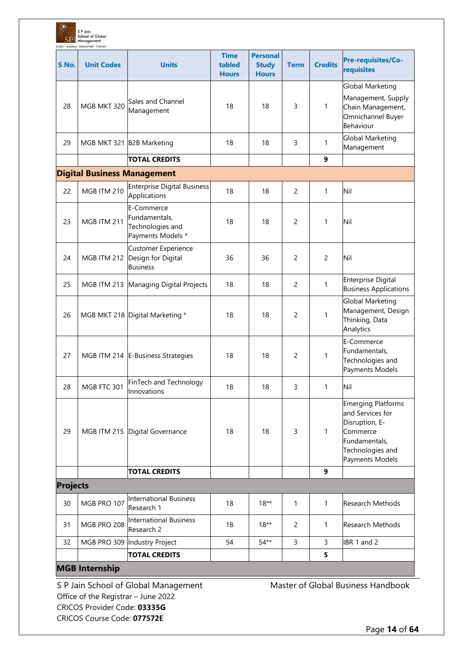| $\circledcirc$<br>SP. | S P Jain<br><b>School of Global</b><br>Management<br>DUBAI . MUMBAI . SINGAPORE . SYDNEY |                                                                      |                                       |                                                 |                |                |                                                                                                                                     |
|-----------------------|------------------------------------------------------------------------------------------|----------------------------------------------------------------------|---------------------------------------|-------------------------------------------------|----------------|----------------|-------------------------------------------------------------------------------------------------------------------------------------|
| S No.                 | <b>Unit Codes</b>                                                                        | <b>Units</b>                                                         | <b>Time</b><br>tabled<br><b>Hours</b> | <b>Personal</b><br><b>Study</b><br><b>Hours</b> | <b>Term</b>    | <b>Credits</b> | Pre-requisites/Co-<br>requisites                                                                                                    |
| 28                    | MGB MKT 320                                                                              | Sales and Channel<br>Management                                      | 18                                    | 18                                              | 3              | 1              | Global Marketing<br>Management, Supply<br>Chain Management,<br>Omnichannel Buyer<br>Behaviour                                       |
| 29                    | MGB MKT 321 B2B Marketing                                                                |                                                                      | 18                                    | 18                                              | 3              | 1              | <b>Global Marketing</b><br>Management                                                                                               |
|                       |                                                                                          | <b>TOTAL CREDITS</b>                                                 |                                       |                                                 |                | 9              |                                                                                                                                     |
|                       |                                                                                          | <b>Digital Business Management</b>                                   |                                       |                                                 |                |                |                                                                                                                                     |
| 22                    | MGB ITM 210                                                                              | <b>Enterprise Digital Business</b><br>Applications                   | 18                                    | 18                                              | 2              | $\mathbf{1}$   | Nil                                                                                                                                 |
| 23                    | MGB ITM 211                                                                              | E-Commerce<br>Fundamentals,<br>Technologies and<br>Payments Models * | 18                                    | 18                                              | $\overline{c}$ | 1              | Nil                                                                                                                                 |
| 24                    | <b>MGB ITM 212</b>                                                                       | <b>Customer Experience</b><br>Design for Digital<br><b>Business</b>  | 36                                    | 36                                              | 2              | $\overline{2}$ | Nil                                                                                                                                 |
| 25                    | <b>MGB ITM 213</b>                                                                       | Managing Digital Projects                                            | 18                                    | 18                                              | 2              | 1              | <b>Enterprise Digital</b><br><b>Business Applications</b>                                                                           |
| 26                    |                                                                                          | MGB MKT 218 Digital Marketing *                                      | 18                                    | 18                                              | $\overline{c}$ | 1              | <b>Global Marketing</b><br>Management, Design<br>Thinking, Data<br>Analytics                                                        |
| 27                    |                                                                                          | MGB ITM 214 E-Business Strategies                                    | 18                                    | 18                                              | 2              | 1              | E-Commerce<br>Fundamentals,<br>Technologies and<br>Payments Models                                                                  |
| 28                    | MGB FTC 301                                                                              | FinTech and Technology<br>Innovations                                | 18                                    | 18                                              | 3              | $\mathbf{1}$   | Nil                                                                                                                                 |
| 29                    |                                                                                          | MGB ITM 215 Digital Governance                                       | 18                                    | 18                                              | 3              | 1              | <b>Emerging Platforms</b><br>and Services for<br>Disruption, E-<br>Commerce<br>Fundamentals,<br>Technologies and<br>Payments Models |
|                       |                                                                                          | <b>TOTAL CREDITS</b>                                                 |                                       |                                                 |                | 9              |                                                                                                                                     |
| <b>Projects</b>       |                                                                                          |                                                                      |                                       |                                                 |                |                |                                                                                                                                     |
| 30                    | MGB PRO 107                                                                              | <b>International Business</b><br>Research 1                          | 18                                    | $18**$                                          | 1              | $\mathbf{1}$   | Research Methods                                                                                                                    |
| 31                    | MGB PRO 208                                                                              | <b>International Business</b><br>Research 2                          | 18                                    | $18**$                                          | 2              | $\mathbf{1}$   | Research Methods                                                                                                                    |
| 32                    | MGB PRO 309                                                                              | Industry Project                                                     | 54                                    | $54**$                                          | 3              | 3              | IBR 1 and 2                                                                                                                         |
|                       |                                                                                          | <b>TOTAL CREDITS</b>                                                 |                                       |                                                 |                | 5              |                                                                                                                                     |
|                       | <b>MGB Internship</b>                                                                    |                                                                      |                                       |                                                 |                |                |                                                                                                                                     |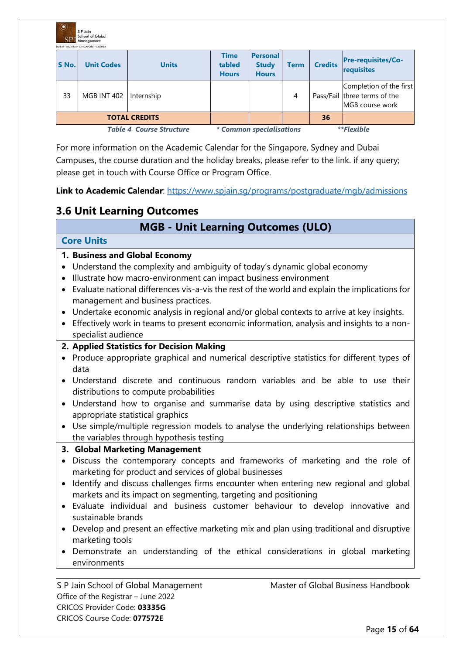| $\mathbb{C}$ | S P Jain<br><b>School of Global</b><br>Management<br>DURAI · MUMBAI · SINGAPORE · SYDNEY |                                 |                                       |                                                 |             |                |                                                                            |
|--------------|------------------------------------------------------------------------------------------|---------------------------------|---------------------------------------|-------------------------------------------------|-------------|----------------|----------------------------------------------------------------------------|
| S No.        | <b>Unit Codes</b>                                                                        | <b>Units</b>                    | <b>Time</b><br>tabled<br><b>Hours</b> | <b>Personal</b><br><b>Study</b><br><b>Hours</b> | <b>Term</b> | <b>Credits</b> | <b>Pre-requisites/Co-</b><br>requisites                                    |
| 33           | <b>MGB INT 402</b>                                                                       | Internship                      |                                       |                                                 | 4           |                | Completion of the first<br>Pass/Fail three terms of the<br>MGB course work |
|              |                                                                                          | <b>TOTAL CREDITS</b>            |                                       |                                                 |             | 36             |                                                                            |
|              |                                                                                          | <b>Table 4 Course Structure</b> |                                       | * Common specialisations                        |             |                | <i>**Flexible</i>                                                          |

For more information on the Academic Calendar for the Singapore, Sydney and Dubai Campuses, the course duration and the holiday breaks, please refer to the link. if any query; please get in touch with Course Office or Program Office.

**Link to Academic Calendar**:<https://www.spjain.sg/programs/postgraduate/mgb/admissions>

# **3.6 Unit Learning Outcomes**

# **MGB - Unit Learning Outcomes (ULO)**

#### **Core Units**

#### **1. Business and Global Economy**

- Understand the complexity and ambiguity of today's dynamic global economy
- Illustrate how macro-environment can impact business environment
- Evaluate national differences vis-a-vis the rest of the world and explain the implications for management and business practices.
- Undertake economic analysis in regional and/or global contexts to arrive at key insights.
- Effectively work in teams to present economic information, analysis and insights to a nonspecialist audience

### **2. Applied Statistics for Decision Making**

- Produce appropriate graphical and numerical descriptive statistics for different types of data
- Understand discrete and continuous random variables and be able to use their distributions to compute probabilities
- Understand how to organise and summarise data by using descriptive statistics and appropriate statistical graphics
- Use simple/multiple regression models to analyse the underlying relationships between the variables through hypothesis testing

#### **3. Global Marketing Management**

- Discuss the contemporary concepts and frameworks of marketing and the role of marketing for product and services of global businesses
- Identify and discuss challenges firms encounter when entering new regional and global markets and its impact on segmenting, targeting and positioning
- Evaluate individual and business customer behaviour to develop innovative and sustainable brands
- Develop and present an effective marketing mix and plan using traditional and disruptive marketing tools
- Demonstrate an understanding of the ethical considerations in global marketing environments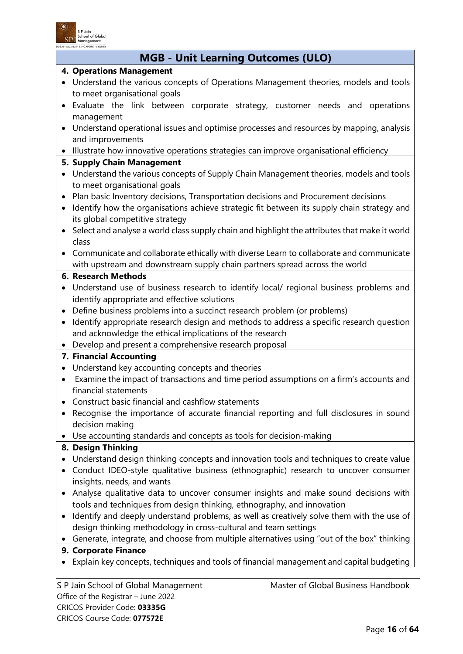

# **MGB - Unit Learning Outcomes (ULO)**

#### **4. Operations Management**

- Understand the various concepts of Operations Management theories, models and tools to meet organisational goals
- Evaluate the link between corporate strategy, customer needs and operations management
- Understand operational issues and optimise processes and resources by mapping, analysis and improvements
- Illustrate how innovative operations strategies can improve organisational efficiency
- **5. Supply Chain Management**
- Understand the various concepts of Supply Chain Management theories, models and tools to meet organisational goals
- Plan basic Inventory decisions, Transportation decisions and Procurement decisions
- Identify how the organisations achieve strategic fit between its supply chain strategy and its global competitive strategy
- Select and analyse a world class supply chain and highlight the attributes that make it world class
- Communicate and collaborate ethically with diverse Learn to collaborate and communicate with upstream and downstream supply chain partners spread across the world

#### **6. Research Methods**

- Understand use of business research to identify local/ regional business problems and identify appropriate and effective solutions
- Define business problems into a succinct research problem (or problems)
- Identify appropriate research design and methods to address a specific research question and acknowledge the ethical implications of the research
- Develop and present a comprehensive research proposal

#### **7. Financial Accounting**

- Understand key accounting concepts and theories
- Examine the impact of transactions and time period assumptions on a firm's accounts and financial statements
- Construct basic financial and cashflow statements
- Recognise the importance of accurate financial reporting and full disclosures in sound decision making
- Use accounting standards and concepts as tools for decision-making

### **8. Design Thinking**

- Understand design thinking concepts and innovation tools and techniques to create value
- Conduct IDEO-style qualitative business (ethnographic) research to uncover consumer insights, needs, and wants
- Analyse qualitative data to uncover consumer insights and make sound decisions with tools and techniques from design thinking, ethnography, and innovation
- Identify and deeply understand problems, as well as creatively solve them with the use of design thinking methodology in cross-cultural and team settings
- Generate, integrate, and choose from multiple alternatives using "out of the box" thinking

#### **9. Corporate Finance**

• Explain key concepts, techniques and tools of financial management and capital budgeting

Office of the Registrar – June 2022 CRICOS Provider Code: **03335G** CRICOS Course Code: **077572E**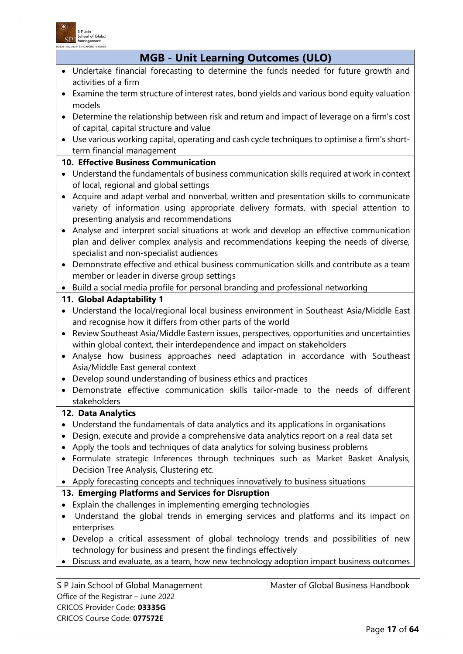

CRICOS Provider Code: **03335G** CRICOS Course Code: **077572E**

|           | <b>MGB - Unit Learning Outcomes (ULO)</b>                                                                                                            |
|-----------|------------------------------------------------------------------------------------------------------------------------------------------------------|
|           | • Undertake financial forecasting to determine the funds needed for future growth and                                                                |
|           | activities of a firm                                                                                                                                 |
|           | • Examine the term structure of interest rates, bond yields and various bond equity valuation                                                        |
|           | models                                                                                                                                               |
| $\bullet$ | Determine the relationship between risk and return and impact of leverage on a firm's cost                                                           |
|           | of capital, capital structure and value                                                                                                              |
|           | • Use various working capital, operating and cash cycle techniques to optimise a firm's short-                                                       |
|           | term financial management                                                                                                                            |
|           | <b>10. Effective Business Communication</b>                                                                                                          |
|           | • Understand the fundamentals of business communication skills required at work in context                                                           |
|           | of local, regional and global settings                                                                                                               |
| $\bullet$ | Acquire and adapt verbal and nonverbal, written and presentation skills to communicate                                                               |
|           | variety of information using appropriate delivery formats, with special attention to                                                                 |
|           | presenting analysis and recommendations                                                                                                              |
| $\bullet$ | Analyse and interpret social situations at work and develop an effective communication                                                               |
|           | plan and deliver complex analysis and recommendations keeping the needs of diverse,                                                                  |
|           | specialist and non-specialist audiences                                                                                                              |
| $\bullet$ | Demonstrate effective and ethical business communication skills and contribute as a team                                                             |
|           | member or leader in diverse group settings                                                                                                           |
|           | • Build a social media profile for personal branding and professional networking                                                                     |
|           | 11. Global Adaptability 1                                                                                                                            |
|           | • Understand the local/regional local business environment in Southeast Asia/Middle East                                                             |
|           | and recognise how it differs from other parts of the world                                                                                           |
| $\bullet$ | Review Southeast Asia/Middle Eastern issues, perspectives, opportunities and uncertainties                                                           |
|           | within global context, their interdependence and impact on stakeholders                                                                              |
| $\bullet$ | Analyse how business approaches need adaptation in accordance with Southeast                                                                         |
|           | Asia/Middle East general context                                                                                                                     |
|           | • Develop sound understanding of business ethics and practices<br>• Demonstrate effective communication skills tailor-made to the needs of different |
|           | stakeholders                                                                                                                                         |
|           |                                                                                                                                                      |
|           | 12. Data Analytics                                                                                                                                   |
| $\bullet$ | Understand the fundamentals of data analytics and its applications in organisations                                                                  |
|           | Design, execute and provide a comprehensive data analytics report on a real data set                                                                 |
|           | Apply the tools and techniques of data analytics for solving business problems                                                                       |
| $\bullet$ | Formulate strategic Inferences through techniques such as Market Basket Analysis,                                                                    |
|           | Decision Tree Analysis, Clustering etc.                                                                                                              |
|           | Apply forecasting concepts and techniques innovatively to business situations                                                                        |
|           | 13. Emerging Platforms and Services for Disruption<br>Explain the challenges in implementing emerging technologies                                   |
|           | Understand the global trends in emerging services and platforms and its impact on                                                                    |
|           |                                                                                                                                                      |
|           |                                                                                                                                                      |
|           | enterprises                                                                                                                                          |
|           | Develop a critical assessment of global technology trends and possibilities of new                                                                   |
|           | technology for business and present the findings effectively                                                                                         |
|           | Discuss and evaluate, as a team, how new technology adoption impact business outcomes                                                                |
|           | Master of Global Business Handbook<br>S P Jain School of Global Management                                                                           |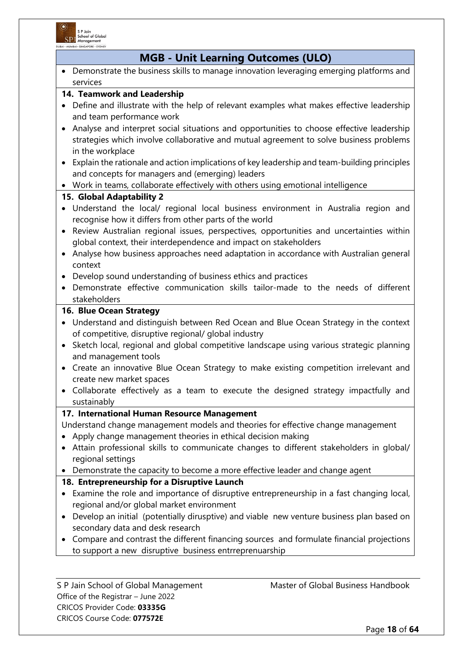

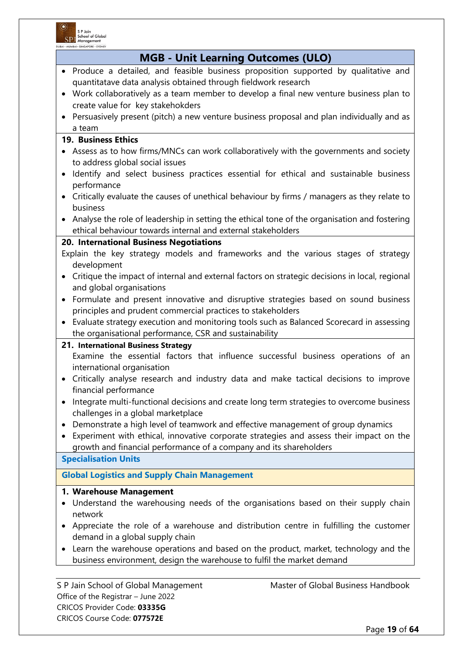

| <b>MGB - Unit Learning Outcomes (ULO)</b>                                                                            |
|----------------------------------------------------------------------------------------------------------------------|
| • Produce a detailed, and feasible business proposition supported by qualitative and                                 |
| quantitatave data analysis obtained through fieldwork research                                                       |
| • Work collaboratively as a team member to develop a final new venture business plan to                              |
| create value for key stakehokders                                                                                    |
| Persuasively present (pitch) a new venture business proposal and plan individually and as                            |
| a team                                                                                                               |
| <b>19. Business Ethics</b>                                                                                           |
| • Assess as to how firms/MNCs can work collaboratively with the governments and society                              |
| to address global social issues                                                                                      |
| Identify and select business practices essential for ethical and sustainable business<br>$\bullet$                   |
| performance                                                                                                          |
| Critically evaluate the causes of unethical behaviour by firms / managers as they relate to<br>$\bullet$<br>business |
| Analyse the role of leadership in setting the ethical tone of the organisation and fostering                         |
| ethical behaviour towards internal and external stakeholders                                                         |
| 20. International Business Negotiations                                                                              |
| Explain the key strategy models and frameworks and the various stages of strategy                                    |
| development                                                                                                          |
| Critique the impact of internal and external factors on strategic decisions in local, regional<br>$\bullet$          |
| and global organisations                                                                                             |
| Formulate and present innovative and disruptive strategies based on sound business<br>$\bullet$                      |
| principles and prudent commercial practices to stakeholders                                                          |
| Evaluate strategy execution and monitoring tools such as Balanced Scorecard in assessing<br>$\bullet$                |
| the organisational performance, CSR and sustainability                                                               |
| 21. International Business Strategy                                                                                  |
| Examine the essential factors that influence successful business operations of an<br>international organisation      |
| Critically analyse research and industry data and make tactical decisions to improve                                 |
| financial performance                                                                                                |
| Integrate multi-functional decisions and create long term strategies to overcome business                            |
| challenges in a global marketplace                                                                                   |
| Demonstrate a high level of teamwork and effective management of group dynamics                                      |
| Experiment with ethical, innovative corporate strategies and assess their impact on the<br>$\bullet$                 |
| growth and financial performance of a company and its shareholders                                                   |
| <b>Specialisation Units</b>                                                                                          |
| <b>Global Logistics and Supply Chain Management</b>                                                                  |
| 1. Warehouse Management                                                                                              |
| Understand the warehousing needs of the organisations based on their supply chain                                    |
| network                                                                                                              |
| Appreciate the role of a warehouse and distribution centre in fulfilling the customer                                |
| demand in a global supply chain                                                                                      |
| Learn the warehouse operations and based on the product, market, technology and the                                  |
| business environment, design the warehouse to fulfil the market demand                                               |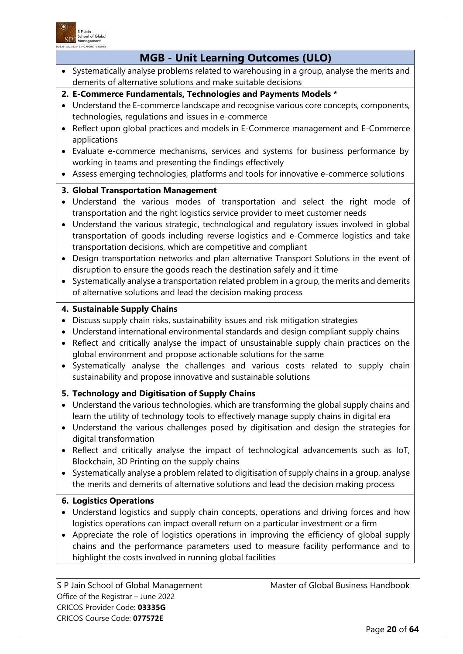

| DUBAI • MUMBAI • SINGAPORE • SYD<br><b>MGB - Unit Learning Outcomes (ULO)</b>                                                                                                                                                                                                                                                                                                                                                                                                                                                                                                                                                                                                                                                                                                                                                           |
|-----------------------------------------------------------------------------------------------------------------------------------------------------------------------------------------------------------------------------------------------------------------------------------------------------------------------------------------------------------------------------------------------------------------------------------------------------------------------------------------------------------------------------------------------------------------------------------------------------------------------------------------------------------------------------------------------------------------------------------------------------------------------------------------------------------------------------------------|
| Systematically analyse problems related to warehousing in a group, analyse the merits and<br>$\bullet$<br>demerits of alternative solutions and make suitable decisions                                                                                                                                                                                                                                                                                                                                                                                                                                                                                                                                                                                                                                                                 |
| 2. E-Commerce Fundamentals, Technologies and Payments Models *<br>Understand the E-commerce landscape and recognise various core concepts, components,<br>technologies, regulations and issues in e-commerce<br>Reflect upon global practices and models in E-Commerce management and E-Commerce<br>$\bullet$<br>applications<br>Evaluate e-commerce mechanisms, services and systems for business performance by<br>working in teams and presenting the findings effectively<br>Assess emerging technologies, platforms and tools for innovative e-commerce solutions<br>$\bullet$                                                                                                                                                                                                                                                     |
| 3. Global Transportation Management<br>Understand the various modes of transportation and select the right mode of<br>transportation and the right logistics service provider to meet customer needs<br>Understand the various strategic, technological and regulatory issues involved in global<br>$\bullet$<br>transportation of goods including reverse logistics and e-Commerce logistics and take<br>transportation decisions, which are competitive and compliant<br>Design transportation networks and plan alternative Transport Solutions in the event of<br>$\bullet$<br>disruption to ensure the goods reach the destination safely and it time<br>Systematically analyse a transportation related problem in a group, the merits and demerits<br>$\bullet$<br>of alternative solutions and lead the decision making process |
| 4. Sustainable Supply Chains<br>Discuss supply chain risks, sustainability issues and risk mitigation strategies<br>$\bullet$<br>Understand international environmental standards and design compliant supply chains<br>$\bullet$<br>Reflect and critically analyse the impact of unsustainable supply chain practices on the<br>$\bullet$<br>global environment and propose actionable solutions for the same<br>Systematically analyse the challenges and various costs related to supply chain<br>$\bullet$<br>sustainability and propose innovative and sustainable solutions                                                                                                                                                                                                                                                       |
| 5. Technology and Digitisation of Supply Chains<br>Understand the various technologies, which are transforming the global supply chains and<br>learn the utility of technology tools to effectively manage supply chains in digital era<br>Understand the various challenges posed by digitisation and design the strategies for<br>digital transformation<br>Reflect and critically analyse the impact of technological advancements such as IoT,<br>Blockchain, 3D Printing on the supply chains<br>Systematically analyse a problem related to digitisation of supply chains in a group, analyse<br>the merits and demerits of alternative solutions and lead the decision making process                                                                                                                                            |
| <b>6. Logistics Operations</b><br>Understand logistics and supply chain concepts, operations and driving forces and how<br>logistics operations can impact overall return on a particular investment or a firm<br>Appreciate the role of logistics operations in improving the efficiency of global supply<br>chains and the performance parameters used to measure facility performance and to<br>highlight the costs involved in running global facilities                                                                                                                                                                                                                                                                                                                                                                            |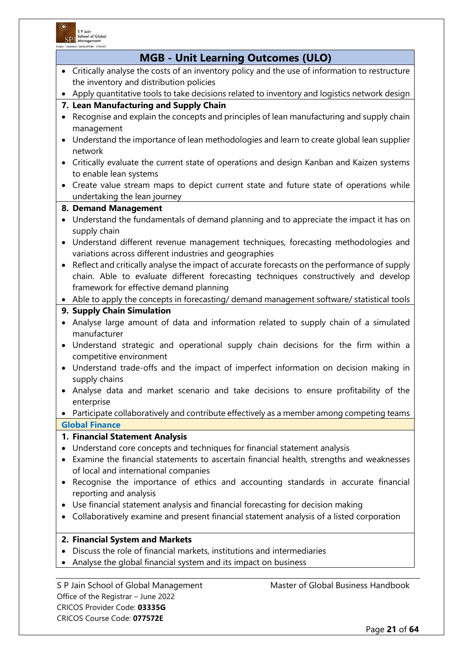

| • Critically analyse the costs of an inventory policy and the use of information to restructure<br>the inventory and distribution policies<br>• Apply quantitative tools to take decisions related to inventory and logistics network design<br>7. Lean Manufacturing and Supply Chain<br>Recognise and explain the concepts and principles of lean manufacturing and supply chain<br>$\bullet$<br>management<br>• Understand the importance of lean methodologies and learn to create global lean supplier |
|-------------------------------------------------------------------------------------------------------------------------------------------------------------------------------------------------------------------------------------------------------------------------------------------------------------------------------------------------------------------------------------------------------------------------------------------------------------------------------------------------------------|
|                                                                                                                                                                                                                                                                                                                                                                                                                                                                                                             |
|                                                                                                                                                                                                                                                                                                                                                                                                                                                                                                             |
|                                                                                                                                                                                                                                                                                                                                                                                                                                                                                                             |
|                                                                                                                                                                                                                                                                                                                                                                                                                                                                                                             |
|                                                                                                                                                                                                                                                                                                                                                                                                                                                                                                             |
| network                                                                                                                                                                                                                                                                                                                                                                                                                                                                                                     |
| Critically evaluate the current state of operations and design Kanban and Kaizen systems<br>$\bullet$<br>to enable lean systems                                                                                                                                                                                                                                                                                                                                                                             |
| Create value stream maps to depict current state and future state of operations while<br>undertaking the lean journey                                                                                                                                                                                                                                                                                                                                                                                       |
| 8. Demand Management                                                                                                                                                                                                                                                                                                                                                                                                                                                                                        |
| Understand the fundamentals of demand planning and to appreciate the impact it has on<br>$\bullet$<br>supply chain                                                                                                                                                                                                                                                                                                                                                                                          |
| Understand different revenue management techniques, forecasting methodologies and<br>variations across different industries and geographies                                                                                                                                                                                                                                                                                                                                                                 |
| Reflect and critically analyse the impact of accurate forecasts on the performance of supply<br>$\bullet$<br>chain. Able to evaluate different forecasting techniques constructively and develop<br>framework for effective demand planning                                                                                                                                                                                                                                                                 |
| • Able to apply the concepts in forecasting/ demand management software/ statistical tools                                                                                                                                                                                                                                                                                                                                                                                                                  |
| 9. Supply Chain Simulation                                                                                                                                                                                                                                                                                                                                                                                                                                                                                  |
| Analyse large amount of data and information related to supply chain of a simulated<br>$\bullet$<br>manufacturer                                                                                                                                                                                                                                                                                                                                                                                            |
| • Understand strategic and operational supply chain decisions for the firm within a<br>competitive environment                                                                                                                                                                                                                                                                                                                                                                                              |
| Understand trade-offs and the impact of imperfect information on decision making in<br>$\bullet$<br>supply chains                                                                                                                                                                                                                                                                                                                                                                                           |
| • Analyse data and market scenario and take decisions to ensure profitability of the<br>enterprise                                                                                                                                                                                                                                                                                                                                                                                                          |
| Participate collaboratively and contribute effectively as a member among competing teams                                                                                                                                                                                                                                                                                                                                                                                                                    |
| <b>Global Finance</b>                                                                                                                                                                                                                                                                                                                                                                                                                                                                                       |
| 1. Financial Statement Analysis                                                                                                                                                                                                                                                                                                                                                                                                                                                                             |
| Understand core concepts and techniques for financial statement analysis<br>٠<br>Examine the financial statements to ascertain financial health, strengths and weaknesses<br>٠<br>of local and international companies                                                                                                                                                                                                                                                                                      |
| Recognise the importance of ethics and accounting standards in accurate financial<br>reporting and analysis                                                                                                                                                                                                                                                                                                                                                                                                 |
| Use financial statement analysis and financial forecasting for decision making<br>$\bullet$<br>Collaboratively examine and present financial statement analysis of a listed corporation                                                                                                                                                                                                                                                                                                                     |
| 2. Financial System and Markets                                                                                                                                                                                                                                                                                                                                                                                                                                                                             |
| Discuss the role of financial markets, institutions and intermediaries<br>$\bullet$                                                                                                                                                                                                                                                                                                                                                                                                                         |
| Analyse the global financial system and its impact on business                                                                                                                                                                                                                                                                                                                                                                                                                                              |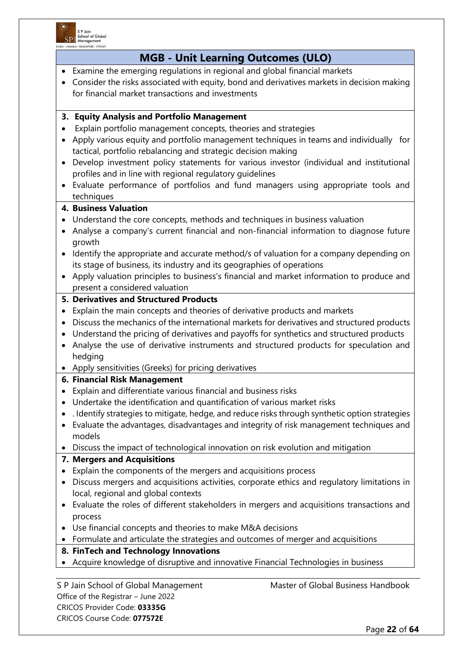

| <b>MGB - Unit Learning Outcomes (ULO)</b>                                                             |                                                                                                |
|-------------------------------------------------------------------------------------------------------|------------------------------------------------------------------------------------------------|
| Examine the emerging regulations in regional and global financial markets                             |                                                                                                |
|                                                                                                       | Consider the risks associated with equity, bond and derivatives markets in decision making     |
| for financial market transactions and investments                                                     |                                                                                                |
| 3. Equity Analysis and Portfolio Management                                                           |                                                                                                |
| Explain portfolio management concepts, theories and strategies                                        |                                                                                                |
|                                                                                                       | Apply various equity and portfolio management techniques in teams and individually for         |
| tactical, portfolio rebalancing and strategic decision making                                         |                                                                                                |
|                                                                                                       | Develop investment policy statements for various investor (individual and institutional        |
| profiles and in line with regional regulatory guidelines                                              |                                                                                                |
|                                                                                                       | Evaluate performance of portfolios and fund managers using appropriate tools and               |
| techniques<br><b>4. Business Valuation</b>                                                            |                                                                                                |
|                                                                                                       |                                                                                                |
| Understand the core concepts, methods and techniques in business valuation                            |                                                                                                |
|                                                                                                       | Analyse a company's current financial and non-financial information to diagnose future         |
| growth                                                                                                |                                                                                                |
| $\bullet$<br>its stage of business, its industry and its geographies of operations                    | Identify the appropriate and accurate method/s of valuation for a company depending on         |
|                                                                                                       |                                                                                                |
|                                                                                                       | Apply valuation principles to business's financial and market information to produce and       |
| present a considered valuation                                                                        |                                                                                                |
| 5. Derivatives and Structured Products                                                                |                                                                                                |
| Explain the main concepts and theories of derivative products and markets<br>$\bullet$                |                                                                                                |
|                                                                                                       | Discuss the mechanics of the international markets for derivatives and structured products     |
|                                                                                                       | Understand the pricing of derivatives and payoffs for synthetics and structured products       |
|                                                                                                       | Analyse the use of derivative instruments and structured products for speculation and          |
| hedging                                                                                               |                                                                                                |
| Apply sensitivities (Greeks) for pricing derivatives                                                  |                                                                                                |
| <b>6. Financial Risk Management</b><br>Explain and differentiate various financial and business risks |                                                                                                |
|                                                                                                       |                                                                                                |
| Undertake the identification and quantification of various market risks                               |                                                                                                |
|                                                                                                       | . Identify strategies to mitigate, hedge, and reduce risks through synthetic option strategies |
| models                                                                                                | Evaluate the advantages, disadvantages and integrity of risk management techniques and         |
| Discuss the impact of technological innovation on risk evolution and mitigation                       |                                                                                                |
| 7. Mergers and Acquisitions                                                                           |                                                                                                |
| Explain the components of the mergers and acquisitions process                                        |                                                                                                |
|                                                                                                       | Discuss mergers and acquisitions activities, corporate ethics and regulatory limitations in    |
| local, regional and global contexts                                                                   |                                                                                                |
|                                                                                                       | Evaluate the roles of different stakeholders in mergers and acquisitions transactions and      |
| process                                                                                               |                                                                                                |
| Use financial concepts and theories to make M&A decisions                                             |                                                                                                |
| Formulate and articulate the strategies and outcomes of merger and acquisitions                       |                                                                                                |
| 8. FinTech and Technology Innovations                                                                 |                                                                                                |
| Acquire knowledge of disruptive and innovative Financial Technologies in business                     |                                                                                                |
|                                                                                                       |                                                                                                |
| S P Jain School of Global Management                                                                  | Master of Global Business Handbook                                                             |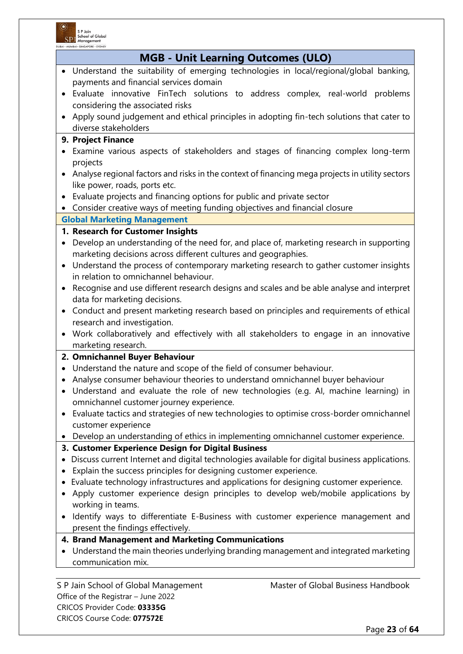

CRICOS Provider Code: **03335G** CRICOS Course Code: **077572E**

| <b>MGB - Unit Learning Outcomes (ULO)</b>                                                                          |
|--------------------------------------------------------------------------------------------------------------------|
| Understand the suitability of emerging technologies in local/regional/global banking,<br>$\bullet$                 |
| payments and financial services domain                                                                             |
| Evaluate innovative FinTech solutions to address complex, real-world problems<br>$\bullet$                         |
| considering the associated risks                                                                                   |
| Apply sound judgement and ethical principles in adopting fin-tech solutions that cater to<br>$\bullet$             |
| diverse stakeholders                                                                                               |
| 9. Project Finance                                                                                                 |
| Examine various aspects of stakeholders and stages of financing complex long-term<br>$\bullet$                     |
| projects                                                                                                           |
| Analyse regional factors and risks in the context of financing mega projects in utility sectors<br>$\bullet$       |
| like power, roads, ports etc.                                                                                      |
| Evaluate projects and financing options for public and private sector<br>$\bullet$                                 |
| • Consider creative ways of meeting funding objectives and financial closure                                       |
| <b>Global Marketing Management</b>                                                                                 |
| 1. Research for Customer Insights                                                                                  |
| Develop an understanding of the need for, and place of, marketing research in supporting<br>$\bullet$              |
| marketing decisions across different cultures and geographies.                                                     |
| Understand the process of contemporary marketing research to gather customer insights<br>$\bullet$                 |
| in relation to omnichannel behaviour.                                                                              |
| Recognise and use different research designs and scales and be able analyse and interpret<br>$\bullet$             |
| data for marketing decisions.                                                                                      |
| Conduct and present marketing research based on principles and requirements of ethical<br>$\bullet$                |
| research and investigation.                                                                                        |
| • Work collaboratively and effectively with all stakeholders to engage in an innovative                            |
| marketing research.                                                                                                |
| 2. Omnichannel Buyer Behaviour<br>Understand the nature and scope of the field of consumer behaviour.<br>$\bullet$ |
| Analyse consumer behaviour theories to understand omnichannel buyer behaviour<br>$\bullet$                         |
| • Understand and evaluate the role of new technologies (e.g. AI, machine learning) in                              |
| omnichannel customer journey experience.                                                                           |
| Evaluate tactics and strategies of new technologies to optimise cross-border omnichannel<br>$\bullet$              |
| customer experience                                                                                                |
| Develop an understanding of ethics in implementing omnichannel customer experience.                                |
| 3. Customer Experience Design for Digital Business                                                                 |
| Discuss current Internet and digital technologies available for digital business applications.                     |
| Explain the success principles for designing customer experience.<br>٠                                             |
| Evaluate technology infrastructures and applications for designing customer experience.                            |
| Apply customer experience design principles to develop web/mobile applications by                                  |
| working in teams.                                                                                                  |
| Identify ways to differentiate E-Business with customer experience management and                                  |
| present the findings effectively.                                                                                  |
| 4. Brand Management and Marketing Communications                                                                   |
| Understand the main theories underlying branding management and integrated marketing                               |
| communication mix.                                                                                                 |
|                                                                                                                    |
| Master of Global Business Handbook<br>S P Jain School of Global Management<br>Office of the Registrar - June 2022  |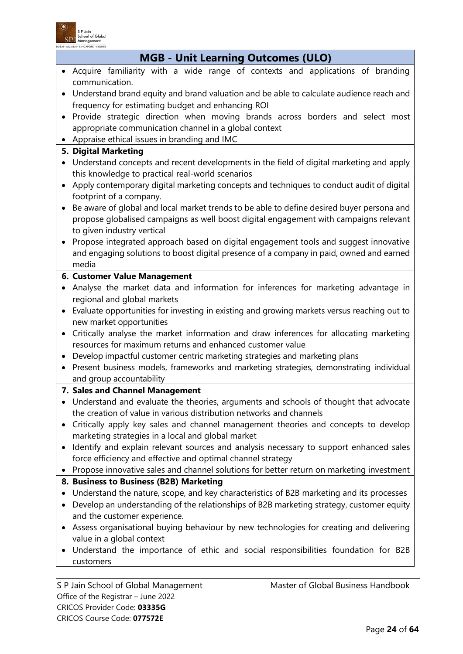

CRICOS Provider Code: **03335G** CRICOS Course Code: **077572E**

| <b>MGB - Unit Learning Outcomes (ULO)</b>                                                                                                   |                                                                                             |  |
|---------------------------------------------------------------------------------------------------------------------------------------------|---------------------------------------------------------------------------------------------|--|
|                                                                                                                                             | Acquire familiarity with a wide range of contexts and applications of branding              |  |
|                                                                                                                                             | communication.                                                                              |  |
|                                                                                                                                             | Understand brand equity and brand valuation and be able to calculate audience reach and     |  |
|                                                                                                                                             | frequency for estimating budget and enhancing ROI                                           |  |
|                                                                                                                                             | Provide strategic direction when moving brands across borders and select most               |  |
|                                                                                                                                             | appropriate communication channel in a global context                                       |  |
|                                                                                                                                             | Appraise ethical issues in branding and IMC                                                 |  |
| 5. Digital Marketing                                                                                                                        |                                                                                             |  |
| Understand concepts and recent developments in the field of digital marketing and apply<br>this knowledge to practical real-world scenarios |                                                                                             |  |
| $\bullet$                                                                                                                                   | Apply contemporary digital marketing concepts and techniques to conduct audit of digital    |  |
|                                                                                                                                             | footprint of a company.                                                                     |  |
|                                                                                                                                             | Be aware of global and local market trends to be able to define desired buyer persona and   |  |
|                                                                                                                                             | propose globalised campaigns as well boost digital engagement with campaigns relevant       |  |
|                                                                                                                                             | to given industry vertical                                                                  |  |
| $\bullet$                                                                                                                                   | Propose integrated approach based on digital engagement tools and suggest innovative        |  |
|                                                                                                                                             | and engaging solutions to boost digital presence of a company in paid, owned and earned     |  |
|                                                                                                                                             | media                                                                                       |  |
|                                                                                                                                             | 6. Customer Value Management                                                                |  |
| $\bullet$                                                                                                                                   | Analyse the market data and information for inferences for marketing advantage in           |  |
|                                                                                                                                             | regional and global markets                                                                 |  |
|                                                                                                                                             | Evaluate opportunities for investing in existing and growing markets versus reaching out to |  |
|                                                                                                                                             | new market opportunities                                                                    |  |
|                                                                                                                                             | Critically analyse the market information and draw inferences for allocating marketing      |  |
| resources for maximum returns and enhanced customer value                                                                                   |                                                                                             |  |
| $\bullet$                                                                                                                                   | Develop impactful customer centric marketing strategies and marketing plans                 |  |
| $\bullet$                                                                                                                                   | Present business models, frameworks and marketing strategies, demonstrating individual      |  |
| and group accountability                                                                                                                    |                                                                                             |  |
|                                                                                                                                             | 7. Sales and Channel Management                                                             |  |
|                                                                                                                                             | Understand and evaluate the theories, arguments and schools of thought that advocate        |  |
|                                                                                                                                             | the creation of value in various distribution networks and channels                         |  |
|                                                                                                                                             | Critically apply key sales and channel management theories and concepts to develop          |  |
|                                                                                                                                             | marketing strategies in a local and global market                                           |  |
|                                                                                                                                             | Identify and explain relevant sources and analysis necessary to support enhanced sales      |  |
|                                                                                                                                             | force efficiency and effective and optimal channel strategy                                 |  |
|                                                                                                                                             | Propose innovative sales and channel solutions for better return on marketing investment    |  |
|                                                                                                                                             | 8. Business to Business (B2B) Marketing                                                     |  |
| $\bullet$                                                                                                                                   | Understand the nature, scope, and key characteristics of B2B marketing and its processes    |  |
| $\bullet$                                                                                                                                   | Develop an understanding of the relationships of B2B marketing strategy, customer equity    |  |
|                                                                                                                                             | and the customer experience.                                                                |  |
| $\bullet$                                                                                                                                   | Assess organisational buying behaviour by new technologies for creating and delivering      |  |
|                                                                                                                                             | value in a global context                                                                   |  |
| $\bullet$                                                                                                                                   | Understand the importance of ethic and social responsibilities foundation for B2B           |  |
|                                                                                                                                             | customers                                                                                   |  |
|                                                                                                                                             | Master of Global Business Handbook<br>S P Jain School of Global Management                  |  |
|                                                                                                                                             | Office of the Registrar - June 2022                                                         |  |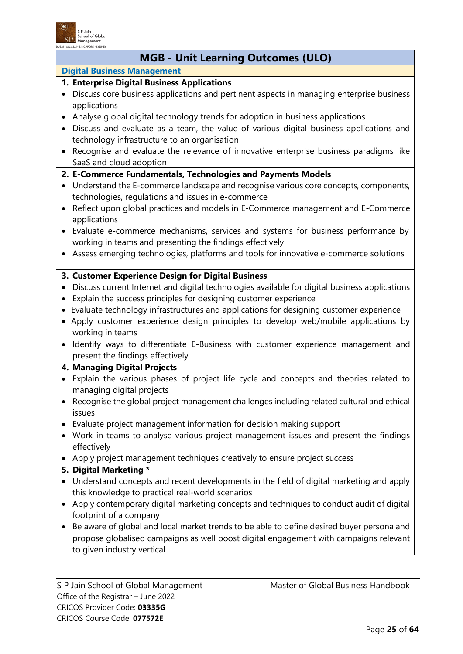

# **MGB - Unit Learning Outcomes (ULO)**

#### **Digital Business Management**

#### **1. Enterprise Digital Business Applications**

- Discuss core business applications and pertinent aspects in managing enterprise business applications
- Analyse global digital technology trends for adoption in business applications
- Discuss and evaluate as a team, the value of various digital business applications and technology infrastructure to an organisation
- Recognise and evaluate the relevance of innovative enterprise business paradigms like SaaS and cloud adoption

#### **2. E-Commerce Fundamentals, Technologies and Payments Models**

- Understand the E-commerce landscape and recognise various core concepts, components, technologies, regulations and issues in e-commerce
- Reflect upon global practices and models in E-Commerce management and E-Commerce applications
- Evaluate e-commerce mechanisms, services and systems for business performance by working in teams and presenting the findings effectively
- Assess emerging technologies, platforms and tools for innovative e-commerce solutions

#### **3. Customer Experience Design for Digital Business**

- Discuss current Internet and digital technologies available for digital business applications
- Explain the success principles for designing customer experience
- Evaluate technology infrastructures and applications for designing customer experience
- Apply customer experience design principles to develop web/mobile applications by working in teams
- Identify ways to differentiate E-Business with customer experience management and present the findings effectively

#### **4. Managing Digital Projects**

- Explain the various phases of project life cycle and concepts and theories related to managing digital projects
- Recognise the global project management challenges including related cultural and ethical issues
- Evaluate project management information for decision making support
- Work in teams to analyse various project management issues and present the findings effectively
- Apply project management techniques creatively to ensure project success

#### **5. Digital Marketing \***

- Understand concepts and recent developments in the field of digital marketing and apply this knowledge to practical real-world scenarios
- Apply contemporary digital marketing concepts and techniques to conduct audit of digital footprint of a company
- Be aware of global and local market trends to be able to define desired buyer persona and propose globalised campaigns as well boost digital engagement with campaigns relevant to given industry vertical

Office of the Registrar – June 2022 CRICOS Provider Code: **03335G** CRICOS Course Code: **077572E**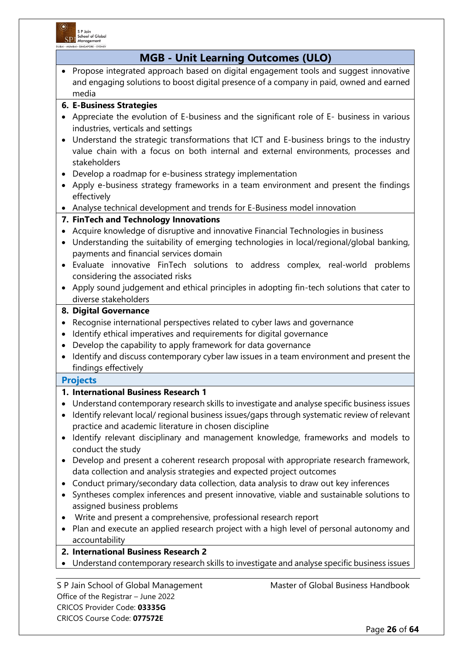

|                        | DUBAI · MUMBAI · SINGAPORE · SYDN<br><b>MGB - Unit Learning Outcomes (ULO)</b>                                                                                                                                                                                                                                                                                 |  |  |
|------------------------|----------------------------------------------------------------------------------------------------------------------------------------------------------------------------------------------------------------------------------------------------------------------------------------------------------------------------------------------------------------|--|--|
| $\bullet$              | Propose integrated approach based on digital engagement tools and suggest innovative                                                                                                                                                                                                                                                                           |  |  |
|                        | and engaging solutions to boost digital presence of a company in paid, owned and earned<br>media                                                                                                                                                                                                                                                               |  |  |
|                        | <b>6. E-Business Strategies</b>                                                                                                                                                                                                                                                                                                                                |  |  |
| $\bullet$              | Appreciate the evolution of E-business and the significant role of E- business in various<br>industries, verticals and settings                                                                                                                                                                                                                                |  |  |
| $\bullet$              | Understand the strategic transformations that ICT and E-business brings to the industry<br>value chain with a focus on both internal and external environments, processes and<br>stakeholders                                                                                                                                                                  |  |  |
| $\bullet$              | Develop a roadmap for e-business strategy implementation                                                                                                                                                                                                                                                                                                       |  |  |
|                        | Apply e-business strategy frameworks in a team environment and present the findings<br>effectively                                                                                                                                                                                                                                                             |  |  |
|                        | • Analyse technical development and trends for E-Business model innovation                                                                                                                                                                                                                                                                                     |  |  |
|                        | 7. FinTech and Technology Innovations                                                                                                                                                                                                                                                                                                                          |  |  |
| $\bullet$              | Acquire knowledge of disruptive and innovative Financial Technologies in business<br>Understanding the suitability of emerging technologies in local/regional/global banking,<br>payments and financial services domain<br>Evaluate innovative FinTech solutions to address complex, real-world problems                                                       |  |  |
|                        | considering the associated risks                                                                                                                                                                                                                                                                                                                               |  |  |
|                        | Apply sound judgement and ethical principles in adopting fin-tech solutions that cater to<br>diverse stakeholders                                                                                                                                                                                                                                              |  |  |
|                        | 8. Digital Governance                                                                                                                                                                                                                                                                                                                                          |  |  |
|                        |                                                                                                                                                                                                                                                                                                                                                                |  |  |
|                        | Recognise international perspectives related to cyber laws and governance<br>$\bullet$                                                                                                                                                                                                                                                                         |  |  |
| $\bullet$              | Identify ethical imperatives and requirements for digital governance                                                                                                                                                                                                                                                                                           |  |  |
| $\bullet$<br>$\bullet$ | Develop the capability to apply framework for data governance<br>Identify and discuss contemporary cyber law issues in a team environment and present the<br>findings effectively                                                                                                                                                                              |  |  |
|                        |                                                                                                                                                                                                                                                                                                                                                                |  |  |
|                        | <b>Projects</b><br>1. International Business Research 1                                                                                                                                                                                                                                                                                                        |  |  |
|                        | Understand contemporary research skills to investigate and analyse specific business issues<br>Identify relevant local/ regional business issues/gaps through systematic review of relevant<br>practice and academic literature in chosen discipline<br>Identify relevant disciplinary and management knowledge, frameworks and models to<br>conduct the study |  |  |
|                        | Develop and present a coherent research proposal with appropriate research framework,<br>data collection and analysis strategies and expected project outcomes<br>Conduct primary/secondary data collection, data analysis to draw out key inferences                                                                                                          |  |  |
|                        | Syntheses complex inferences and present innovative, viable and sustainable solutions to<br>assigned business problems                                                                                                                                                                                                                                         |  |  |
|                        | Write and present a comprehensive, professional research report                                                                                                                                                                                                                                                                                                |  |  |
|                        | Plan and execute an applied research project with a high level of personal autonomy and<br>accountability                                                                                                                                                                                                                                                      |  |  |
|                        | 2. International Business Research 2                                                                                                                                                                                                                                                                                                                           |  |  |
|                        | Understand contemporary research skills to investigate and analyse specific business issues                                                                                                                                                                                                                                                                    |  |  |
|                        | f Clahal Dusiasse Handb<br>Cahaal of Clobal Managan                                                                                                                                                                                                                                                                                                            |  |  |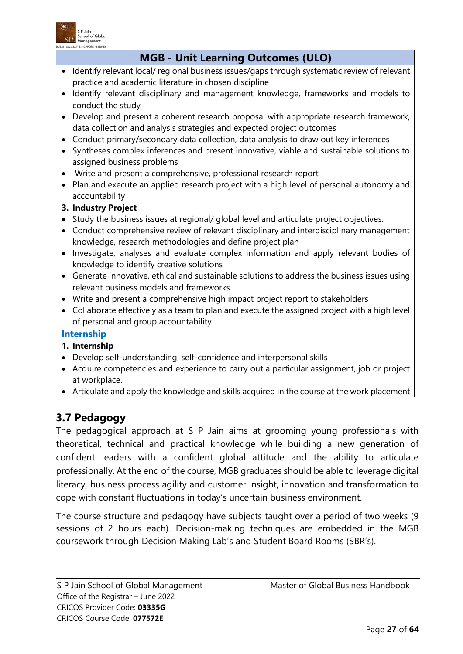

| <b>MGB - Unit Learning Outcomes (ULO)</b>                                                                                                                                                                                                                               |  |  |
|-------------------------------------------------------------------------------------------------------------------------------------------------------------------------------------------------------------------------------------------------------------------------|--|--|
| Identify relevant local/ regional business issues/gaps through systematic review of relevant<br>$\bullet$<br>practice and academic literature in chosen discipline<br>Identify relevant disciplinary and management knowledge, frameworks and models to                 |  |  |
| conduct the study                                                                                                                                                                                                                                                       |  |  |
| Develop and present a coherent research proposal with appropriate research framework,<br>data collection and analysis strategies and expected project outcomes                                                                                                          |  |  |
| Conduct primary/secondary data collection, data analysis to draw out key inferences<br>$\bullet$<br>Syntheses complex inferences and present innovative, viable and sustainable solutions to<br>$\bullet$<br>assigned business problems                                 |  |  |
| Write and present a comprehensive, professional research report<br>$\bullet$                                                                                                                                                                                            |  |  |
| Plan and execute an applied research project with a high level of personal autonomy and<br>$\bullet$<br>accountability                                                                                                                                                  |  |  |
| 3. Industry Project                                                                                                                                                                                                                                                     |  |  |
| Study the business issues at regional/ global level and articulate project objectives.<br>$\bullet$<br>Conduct comprehensive review of relevant disciplinary and interdisciplinary management<br>$\bullet$<br>knowledge, research methodologies and define project plan |  |  |
| Investigate, analyses and evaluate complex information and apply relevant bodies of<br>$\bullet$<br>knowledge to identify creative solutions                                                                                                                            |  |  |
| Generate innovative, ethical and sustainable solutions to address the business issues using<br>$\bullet$<br>relevant business models and frameworks                                                                                                                     |  |  |
| • Write and present a comprehensive high impact project report to stakeholders                                                                                                                                                                                          |  |  |
| Collaborate effectively as a team to plan and execute the assigned project with a high level<br>$\bullet$<br>of personal and group accountability                                                                                                                       |  |  |
| <b>Internship</b>                                                                                                                                                                                                                                                       |  |  |
| 1. Internship                                                                                                                                                                                                                                                           |  |  |
| Develop self-understanding, self-confidence and interpersonal skills<br>$\bullet$                                                                                                                                                                                       |  |  |
| Acquire competencies and experience to carry out a particular assignment, job or project<br>$\bullet$<br>at workplace.                                                                                                                                                  |  |  |

• Articulate and apply the knowledge and skills acquired in the course at the work placement

# **3.7 Pedagogy**

The pedagogical approach at S P Jain aims at grooming young professionals with theoretical, technical and practical knowledge while building a new generation of confident leaders with a confident global attitude and the ability to articulate professionally. At the end of the course, MGB graduates should be able to leverage digital literacy, business process agility and customer insight, innovation and transformation to cope with constant fluctuations in today's uncertain business environment.

The course structure and pedagogy have subjects taught over a period of two weeks (9 sessions of 2 hours each). Decision-making techniques are embedded in the MGB coursework through Decision Making Lab's and Student Board Rooms (SBR's).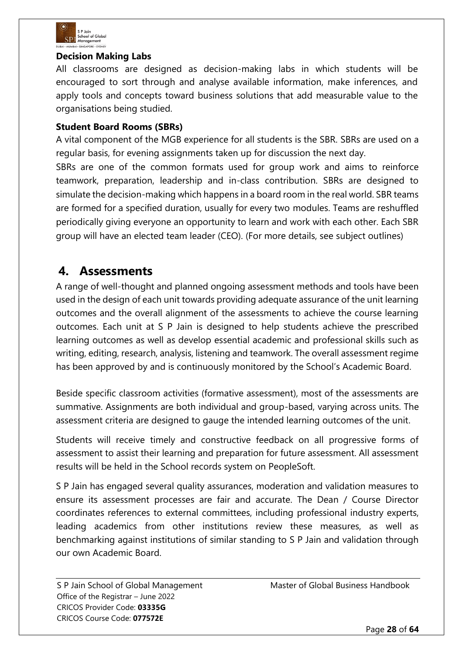

### **Decision Making Labs**

All classrooms are designed as decision-making labs in which students will be encouraged to sort through and analyse available information, make inferences, and apply tools and concepts toward business solutions that add measurable value to the organisations being studied.

### **Student Board Rooms (SBRs)**

A vital component of the MGB experience for all students is the SBR. SBRs are used on a regular basis, for evening assignments taken up for discussion the next day.

SBRs are one of the common formats used for group work and aims to reinforce teamwork, preparation, leadership and in-class contribution. SBRs are designed to simulate the decision-making which happens in a board room in the real world. SBR teams are formed for a specified duration, usually for every two modules. Teams are reshuffled periodically giving everyone an opportunity to learn and work with each other. Each SBR group will have an elected team leader (CEO). (For more details, see subject outlines)

# **4. Assessments**

A range of well-thought and planned ongoing assessment methods and tools have been used in the design of each unit towards providing adequate assurance of the unit learning outcomes and the overall alignment of the assessments to achieve the course learning outcomes. Each unit at S P Jain is designed to help students achieve the prescribed learning outcomes as well as develop essential academic and professional skills such as writing, editing, research, analysis, listening and teamwork. The overall assessment regime has been approved by and is continuously monitored by the School's Academic Board.

Beside specific classroom activities (formative assessment), most of the assessments are summative. Assignments are both individual and group-based, varying across units. The assessment criteria are designed to gauge the intended learning outcomes of the unit.

Students will receive timely and constructive feedback on all progressive forms of assessment to assist their learning and preparation for future assessment. All assessment results will be held in the School records system on PeopleSoft.

S P Jain has engaged several quality assurances, moderation and validation measures to ensure its assessment processes are fair and accurate. The Dean / Course Director coordinates references to external committees, including professional industry experts, leading academics from other institutions review these measures, as well as benchmarking against institutions of similar standing to S P Jain and validation through our own Academic Board.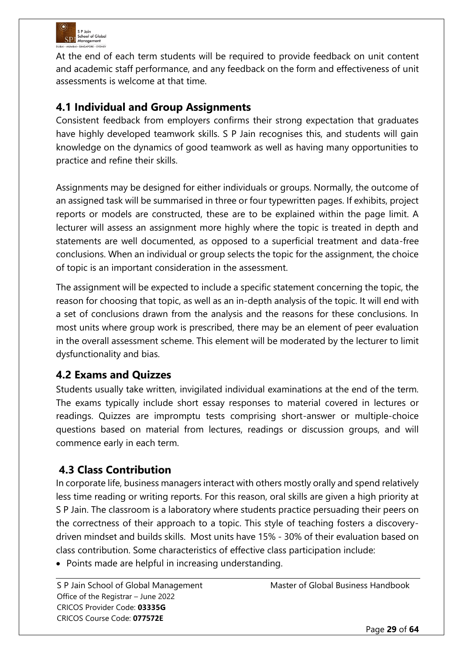

At the end of each term students will be required to provide feedback on unit content and academic staff performance, and any feedback on the form and effectiveness of unit assessments is welcome at that time.

# **4.1 Individual and Group Assignments**

Consistent feedback from employers confirms their strong expectation that graduates have highly developed teamwork skills. S P Jain recognises this, and students will gain knowledge on the dynamics of good teamwork as well as having many opportunities to practice and refine their skills.

Assignments may be designed for either individuals or groups. Normally, the outcome of an assigned task will be summarised in three or four typewritten pages. If exhibits, project reports or models are constructed, these are to be explained within the page limit. A lecturer will assess an assignment more highly where the topic is treated in depth and statements are well documented, as opposed to a superficial treatment and data-free conclusions. When an individual or group selects the topic for the assignment, the choice of topic is an important consideration in the assessment.

The assignment will be expected to include a specific statement concerning the topic, the reason for choosing that topic, as well as an in-depth analysis of the topic. It will end with a set of conclusions drawn from the analysis and the reasons for these conclusions. In most units where group work is prescribed, there may be an element of peer evaluation in the overall assessment scheme. This element will be moderated by the lecturer to limit dysfunctionality and bias.

# **4.2 Exams and Quizzes**

Students usually take written, invigilated individual examinations at the end of the term. The exams typically include short essay responses to material covered in lectures or readings. Quizzes are impromptu tests comprising short-answer or multiple-choice questions based on material from lectures, readings or discussion groups, and will commence early in each term.

# **4.3 Class Contribution**

In corporate life, business managers interact with others mostly orally and spend relatively less time reading or writing reports. For this reason, oral skills are given a high priority at S P Jain. The classroom is a laboratory where students practice persuading their peers on the correctness of their approach to a topic. This style of teaching fosters a discoverydriven mindset and builds skills. Most units have 15% - 30% of their evaluation based on class contribution. Some characteristics of effective class participation include:

• Points made are helpful in increasing understanding.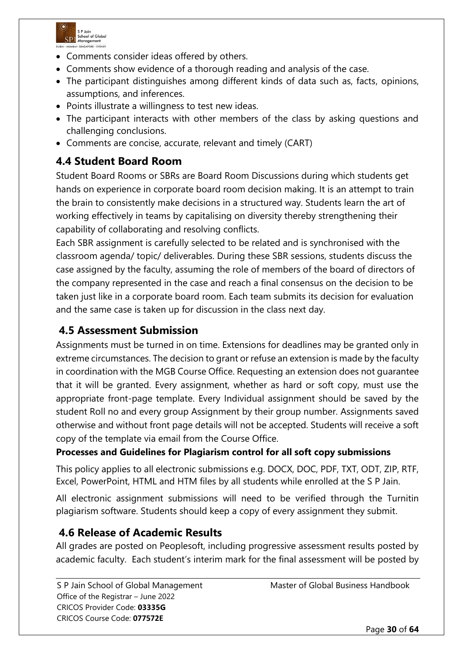

- Comments consider ideas offered by others.
- Comments show evidence of a thorough reading and analysis of the case.
- The participant distinguishes among different kinds of data such as, facts, opinions, assumptions, and inferences.
- Points illustrate a willingness to test new ideas.
- The participant interacts with other members of the class by asking questions and challenging conclusions.
- Comments are concise, accurate, relevant and timely (CART)

# **4.4 Student Board Room**

Student Board Rooms or SBRs are Board Room Discussions during which students get hands on experience in corporate board room decision making. It is an attempt to train the brain to consistently make decisions in a structured way. Students learn the art of working effectively in teams by capitalising on diversity thereby strengthening their capability of collaborating and resolving conflicts.

Each SBR assignment is carefully selected to be related and is synchronised with the classroom agenda/ topic/ deliverables. During these SBR sessions, students discuss the case assigned by the faculty, assuming the role of members of the board of directors of the company represented in the case and reach a final consensus on the decision to be taken just like in a corporate board room. Each team submits its decision for evaluation and the same case is taken up for discussion in the class next day.

# **4.5 Assessment Submission**

Assignments must be turned in on time. Extensions for deadlines may be granted only in extreme circumstances. The decision to grant or refuse an extension is made by the faculty in coordination with the MGB Course Office. Requesting an extension does not guarantee that it will be granted. Every assignment, whether as hard or soft copy, must use the appropriate front-page template. Every Individual assignment should be saved by the student Roll no and every group Assignment by their group number. Assignments saved otherwise and without front page details will not be accepted. Students will receive a soft copy of the template via email from the Course Office.

# **Processes and Guidelines for Plagiarism control for all soft copy submissions**

This policy applies to all electronic submissions e.g. DOCX, DOC, PDF, TXT, ODT, ZIP, RTF, Excel, PowerPoint, HTML and HTM files by all students while enrolled at the S P Jain.

All electronic assignment submissions will need to be verified through the Turnitin plagiarism software. Students should keep a copy of every assignment they submit.

# **4.6 Release of Academic Results**

All grades are posted on Peoplesoft, including progressive assessment results posted by academic faculty. Each student's interim mark for the final assessment will be posted by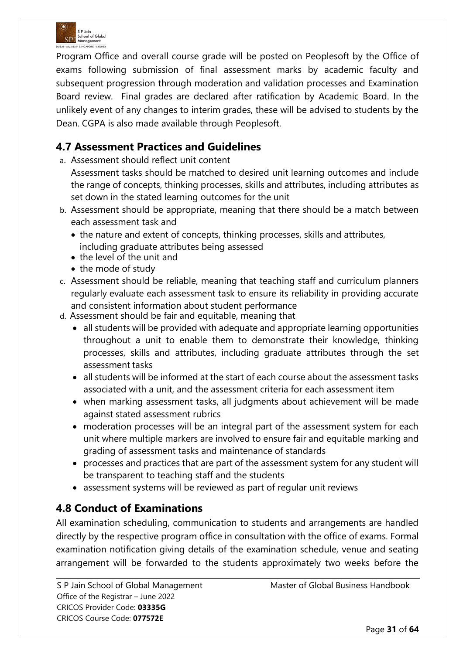

Program Office and overall course grade will be posted on Peoplesoft by the Office of exams following submission of final assessment marks by academic faculty and subsequent progression through moderation and validation processes and Examination Board review. Final grades are declared after ratification by Academic Board. In the unlikely event of any changes to interim grades, these will be advised to students by the Dean. CGPA is also made available through Peoplesoft.

# **4.7 Assessment Practices and Guidelines**

a. Assessment should reflect unit content

Assessment tasks should be matched to desired unit learning outcomes and include the range of concepts, thinking processes, skills and attributes, including attributes as set down in the stated learning outcomes for the unit

- b. Assessment should be appropriate, meaning that there should be a match between each assessment task and
	- the nature and extent of concepts, thinking processes, skills and attributes, including graduate attributes being assessed
	- the level of the unit and
	- the mode of study
- c. Assessment should be reliable, meaning that teaching staff and curriculum planners regularly evaluate each assessment task to ensure its reliability in providing accurate and consistent information about student performance
- d. Assessment should be fair and equitable, meaning that
	- all students will be provided with adequate and appropriate learning opportunities throughout a unit to enable them to demonstrate their knowledge, thinking processes, skills and attributes, including graduate attributes through the set assessment tasks
	- all students will be informed at the start of each course about the assessment tasks associated with a unit, and the assessment criteria for each assessment item
	- when marking assessment tasks, all judgments about achievement will be made against stated assessment rubrics
	- moderation processes will be an integral part of the assessment system for each unit where multiple markers are involved to ensure fair and equitable marking and grading of assessment tasks and maintenance of standards
	- processes and practices that are part of the assessment system for any student will be transparent to teaching staff and the students
	- assessment systems will be reviewed as part of regular unit reviews

# **4.8 Conduct of Examinations**

All examination scheduling, communication to students and arrangements are handled directly by the respective program office in consultation with the office of exams. Formal examination notification giving details of the examination schedule, venue and seating arrangement will be forwarded to the students approximately two weeks before the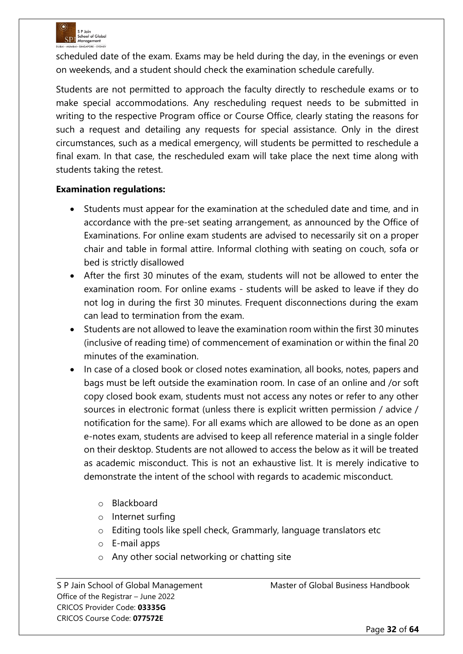

scheduled date of the exam. Exams may be held during the day, in the evenings or even on weekends, and a student should check the examination schedule carefully.

Students are not permitted to approach the faculty directly to reschedule exams or to make special accommodations. Any rescheduling request needs to be submitted in writing to the respective Program office or Course Office, clearly stating the reasons for such a request and detailing any requests for special assistance. Only in the direst circumstances, such as a medical emergency, will students be permitted to reschedule a final exam. In that case, the rescheduled exam will take place the next time along with students taking the retest.

# **Examination regulations:**

- Students must appear for the examination at the scheduled date and time, and in accordance with the pre-set seating arrangement, as announced by the Office of Examinations. For online exam students are advised to necessarily sit on a proper chair and table in formal attire. Informal clothing with seating on couch, sofa or bed is strictly disallowed
- After the first 30 minutes of the exam, students will not be allowed to enter the examination room. For online exams - students will be asked to leave if they do not log in during the first 30 minutes. Frequent disconnections during the exam can lead to termination from the exam.
- Students are not allowed to leave the examination room within the first 30 minutes (inclusive of reading time) of commencement of examination or within the final 20 minutes of the examination.
- In case of a closed book or closed notes examination, all books, notes, papers and bags must be left outside the examination room. In case of an online and /or soft copy closed book exam, students must not access any notes or refer to any other sources in electronic format (unless there is explicit written permission / advice / notification for the same). For all exams which are allowed to be done as an open e-notes exam, students are advised to keep all reference material in a single folder on their desktop. Students are not allowed to access the below as it will be treated as academic misconduct. This is not an exhaustive list. It is merely indicative to demonstrate the intent of the school with regards to academic misconduct.
	- o Blackboard
	- o Internet surfing
	- o Editing tools like spell check, Grammarly, language translators etc
	- o E-mail apps
	- o Any other social networking or chatting site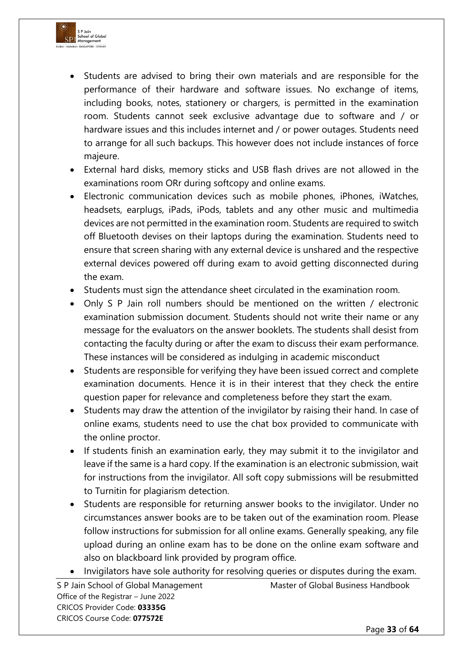

- Students are advised to bring their own materials and are responsible for the performance of their hardware and software issues. No exchange of items, including books, notes, stationery or chargers, is permitted in the examination room. Students cannot seek exclusive advantage due to software and / or hardware issues and this includes internet and / or power outages. Students need to arrange for all such backups. This however does not include instances of force majeure.
- External hard disks, memory sticks and USB flash drives are not allowed in the examinations room ORr during softcopy and online exams.
- Electronic communication devices such as mobile phones, iPhones, iWatches, headsets, earplugs, iPads, iPods, tablets and any other music and multimedia devices are not permitted in the examination room. Students are required to switch off Bluetooth devises on their laptops during the examination. Students need to ensure that screen sharing with any external device is unshared and the respective external devices powered off during exam to avoid getting disconnected during the exam.
- Students must sign the attendance sheet circulated in the examination room.
- Only S P Jain roll numbers should be mentioned on the written / electronic examination submission document. Students should not write their name or any message for the evaluators on the answer booklets. The students shall desist from contacting the faculty during or after the exam to discuss their exam performance. These instances will be considered as indulging in academic misconduct
- Students are responsible for verifying they have been issued correct and complete examination documents. Hence it is in their interest that they check the entire question paper for relevance and completeness before they start the exam.
- Students may draw the attention of the invigilator by raising their hand. In case of online exams, students need to use the chat box provided to communicate with the online proctor.
- If students finish an examination early, they may submit it to the invigilator and leave if the same is a hard copy. If the examination is an electronic submission, wait for instructions from the invigilator. All soft copy submissions will be resubmitted to Turnitin for plagiarism detection.
- Students are responsible for returning answer books to the invigilator. Under no circumstances answer books are to be taken out of the examination room. Please follow instructions for submission for all online exams. Generally speaking, any file upload during an online exam has to be done on the online exam software and also on blackboard link provided by program office.
- Invigilators have sole authority for resolving queries or disputes during the exam.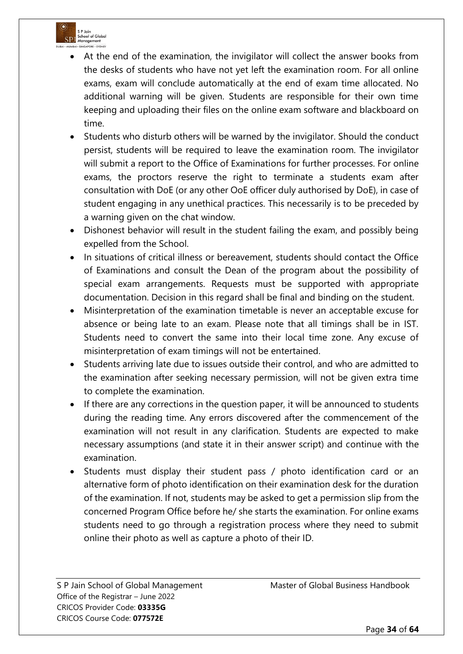

- At the end of the examination, the invigilator will collect the answer books from the desks of students who have not yet left the examination room. For all online exams, exam will conclude automatically at the end of exam time allocated. No additional warning will be given. Students are responsible for their own time keeping and uploading their files on the online exam software and blackboard on time.
- Students who disturb others will be warned by the invigilator. Should the conduct persist, students will be required to leave the examination room. The invigilator will submit a report to the Office of Examinations for further processes. For online exams, the proctors reserve the right to terminate a students exam after consultation with DoE (or any other OoE officer duly authorised by DoE), in case of student engaging in any unethical practices. This necessarily is to be preceded by a warning given on the chat window.
- Dishonest behavior will result in the student failing the exam, and possibly being expelled from the School.
- In situations of critical illness or bereavement, students should contact the Office of Examinations and consult the Dean of the program about the possibility of special exam arrangements. Requests must be supported with appropriate documentation. Decision in this regard shall be final and binding on the student.
- Misinterpretation of the examination timetable is never an acceptable excuse for absence or being late to an exam. Please note that all timings shall be in IST. Students need to convert the same into their local time zone. Any excuse of misinterpretation of exam timings will not be entertained.
- Students arriving late due to issues outside their control, and who are admitted to the examination after seeking necessary permission, will not be given extra time to complete the examination.
- If there are any corrections in the question paper, it will be announced to students during the reading time. Any errors discovered after the commencement of the examination will not result in any clarification. Students are expected to make necessary assumptions (and state it in their answer script) and continue with the examination.
- Students must display their student pass / photo identification card or an alternative form of photo identification on their examination desk for the duration of the examination. If not, students may be asked to get a permission slip from the concerned Program Office before he/ she starts the examination. For online exams students need to go through a registration process where they need to submit online their photo as well as capture a photo of their ID.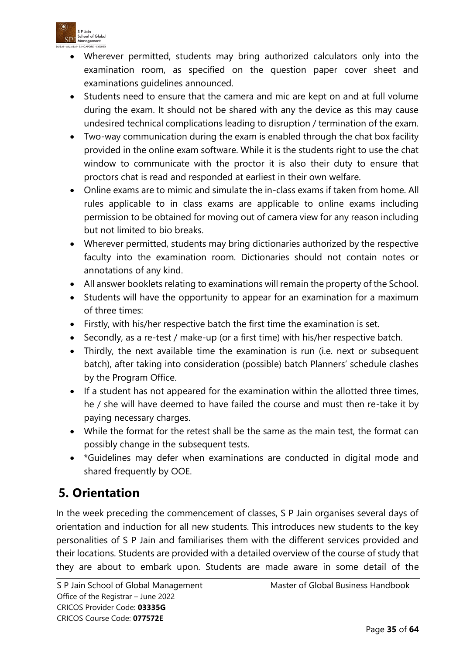

- Wherever permitted, students may bring authorized calculators only into the examination room, as specified on the question paper cover sheet and examinations guidelines announced.
- Students need to ensure that the camera and mic are kept on and at full volume during the exam. It should not be shared with any the device as this may cause undesired technical complications leading to disruption / termination of the exam.
- Two-way communication during the exam is enabled through the chat box facility provided in the online exam software. While it is the students right to use the chat window to communicate with the proctor it is also their duty to ensure that proctors chat is read and responded at earliest in their own welfare.
- Online exams are to mimic and simulate the in-class exams if taken from home. All rules applicable to in class exams are applicable to online exams including permission to be obtained for moving out of camera view for any reason including but not limited to bio breaks.
- Wherever permitted, students may bring dictionaries authorized by the respective faculty into the examination room. Dictionaries should not contain notes or annotations of any kind.
- All answer booklets relating to examinations will remain the property of the School.
- Students will have the opportunity to appear for an examination for a maximum of three times:
- Firstly, with his/her respective batch the first time the examination is set.
- Secondly, as a re-test / make-up (or a first time) with his/her respective batch.
- Thirdly, the next available time the examination is run (i.e. next or subsequent batch), after taking into consideration (possible) batch Planners' schedule clashes by the Program Office.
- If a student has not appeared for the examination within the allotted three times, he / she will have deemed to have failed the course and must then re-take it by paying necessary charges.
- While the format for the retest shall be the same as the main test, the format can possibly change in the subsequent tests.
- \*Guidelines may defer when examinations are conducted in digital mode and shared frequently by OOE.

# **5. Orientation**

In the week preceding the commencement of classes, S P Jain organises several days of orientation and induction for all new students. This introduces new students to the key personalities of S P Jain and familiarises them with the different services provided and their locations. Students are provided with a detailed overview of the course of study that they are about to embark upon. Students are made aware in some detail of the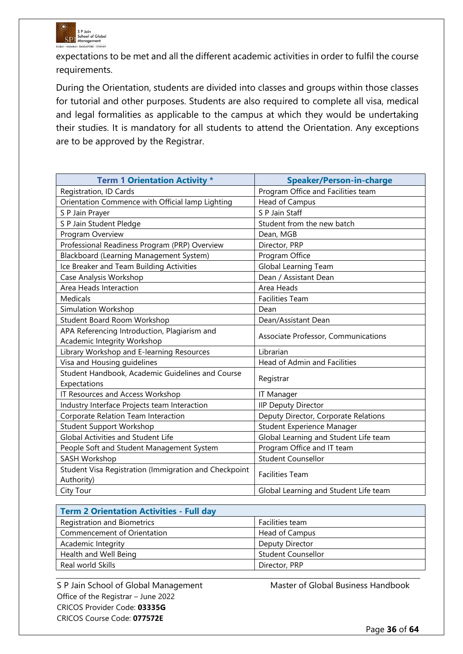

expectations to be met and all the different academic activities in order to fulfil the course requirements.

During the Orientation, students are divided into classes and groups within those classes for tutorial and other purposes. Students are also required to complete all visa, medical and legal formalities as applicable to the campus at which they would be undertaking their studies. It is mandatory for all students to attend the Orientation. Any exceptions are to be approved by the Registrar.

| <b>Term 1 Orientation Activity *</b>                                | <b>Speaker/Person-in-charge</b>       |
|---------------------------------------------------------------------|---------------------------------------|
| Registration, ID Cards                                              | Program Office and Facilities team    |
| Orientation Commence with Official lamp Lighting                    | Head of Campus                        |
| S P Jain Prayer                                                     | S P Jain Staff                        |
| S P Jain Student Pledge                                             | Student from the new batch            |
| Program Overview                                                    | Dean, MGB                             |
| Professional Readiness Program (PRP) Overview                       | Director, PRP                         |
| Blackboard (Learning Management System)                             | Program Office                        |
| Ice Breaker and Team Building Activities                            | Global Learning Team                  |
| Case Analysis Workshop                                              | Dean / Assistant Dean                 |
| Area Heads Interaction                                              | Area Heads                            |
| <b>Medicals</b>                                                     | <b>Facilities Team</b>                |
| <b>Simulation Workshop</b>                                          | Dean                                  |
| <b>Student Board Room Workshop</b>                                  | Dean/Assistant Dean                   |
| APA Referencing Introduction, Plagiarism and                        | Associate Professor, Communications   |
| Academic Integrity Workshop                                         |                                       |
| Library Workshop and E-learning Resources                           | Librarian                             |
| Visa and Housing guidelines                                         | Head of Admin and Facilities          |
| Student Handbook, Academic Guidelines and Course<br>Expectations    | Registrar                             |
| IT Resources and Access Workshop                                    | <b>IT Manager</b>                     |
| Industry Interface Projects team Interaction                        | <b>IIP Deputy Director</b>            |
| Corporate Relation Team Interaction                                 | Deputy Director, Corporate Relations  |
| <b>Student Support Workshop</b>                                     | Student Experience Manager            |
| <b>Global Activities and Student Life</b>                           | Global Learning and Student Life team |
| People Soft and Student Management System                           | Program Office and IT team            |
| SASH Workshop                                                       | <b>Student Counsellor</b>             |
| Student Visa Registration (Immigration and Checkpoint<br>Authority) | <b>Facilities Team</b>                |
| City Tour                                                           | Global Learning and Student Life team |

| <b>Term 2 Orientation Activities - Full day</b> |                           |  |
|-------------------------------------------------|---------------------------|--|
| <b>Registration and Biometrics</b>              | Facilities team           |  |
| Commencement of Orientation                     | Head of Campus            |  |
| Academic Integrity                              | Deputy Director           |  |
| Health and Well Being                           | <b>Student Counsellor</b> |  |
| Real world Skills                               | Director, PRP             |  |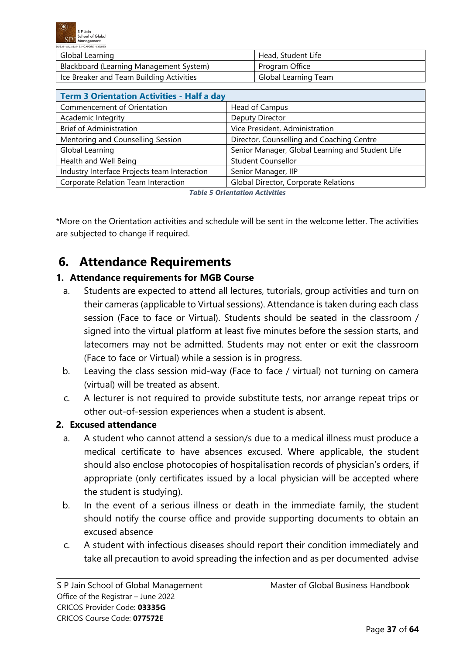

| <b>DUBAL MUMBAL - 31130AFORE - 31 DISEI</b> |                      |  |
|---------------------------------------------|----------------------|--|
| Global Learning                             | Head, Student Life   |  |
| Blackboard (Learning Management System)     | Program Office       |  |
| Ice Breaker and Team Building Activities    | Global Learning Team |  |

| <b>Term 3 Orientation Activities - Half a day</b> |                                                  |
|---------------------------------------------------|--------------------------------------------------|
| Commencement of Orientation                       | Head of Campus                                   |
| Academic Integrity                                | Deputy Director                                  |
| <b>Brief of Administration</b>                    | Vice President, Administration                   |
| Mentoring and Counselling Session                 | Director, Counselling and Coaching Centre        |
| Global Learning                                   | Senior Manager, Global Learning and Student Life |
| Health and Well Being                             | <b>Student Counsellor</b>                        |
| Industry Interface Projects team Interaction      | Senior Manager, IIP                              |
| Corporate Relation Team Interaction               | Global Director, Corporate Relations             |

*Table 5 Orientation Activities*

\*More on the Orientation activities and schedule will be sent in the welcome letter. The activities are subjected to change if required.

# **6. Attendance Requirements**

# **1. Attendance requirements for MGB Course**

- a. Students are expected to attend all lectures, tutorials, group activities and turn on their cameras (applicable to Virtual sessions). Attendance is taken during each class session (Face to face or Virtual). Students should be seated in the classroom / signed into the virtual platform at least five minutes before the session starts, and latecomers may not be admitted. Students may not enter or exit the classroom (Face to face or Virtual) while a session is in progress.
- b. Leaving the class session mid-way (Face to face / virtual) not turning on camera (virtual) will be treated as absent.
- c. A lecturer is not required to provide substitute tests, nor arrange repeat trips or other out-of-session experiences when a student is absent.

### **2. Excused attendance**

- a. A student who cannot attend a session/s due to a medical illness must produce a medical certificate to have absences excused. Where applicable, the student should also enclose photocopies of hospitalisation records of physician's orders, if appropriate (only certificates issued by a local physician will be accepted where the student is studying).
- b. In the event of a serious illness or death in the immediate family, the student should notify the course office and provide supporting documents to obtain an excused absence
- c. A student with infectious diseases should report their condition immediately and take all precaution to avoid spreading the infection and as per documented advise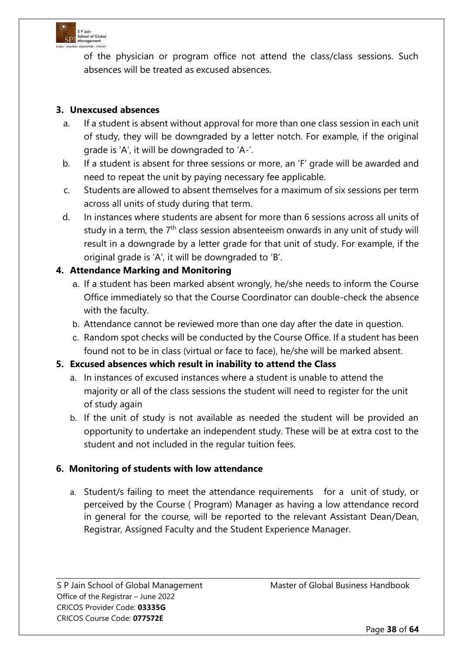

of the physician or program office not attend the class/class sessions. Such absences will be treated as excused absences.

# **3. Unexcused absences**

- a. If a student is absent without approval for more than one class session in each unit of study, they will be downgraded by a letter notch. For example, if the original grade is 'A', it will be downgraded to 'A-'.
- b. If a student is absent for three sessions or more, an 'F' grade will be awarded and need to repeat the unit by paying necessary fee applicable.
- c. Students are allowed to absent themselves for a maximum of six sessions per term across all units of study during that term.
- d. In instances where students are absent for more than 6 sessions across all units of study in a term, the 7<sup>th</sup> class session absenteeism onwards in any unit of study will result in a downgrade by a letter grade for that unit of study. For example, if the original grade is 'A', it will be downgraded to 'B'.

# **4. Attendance Marking and Monitoring**

- a. If a student has been marked absent wrongly, he/she needs to inform the Course Office immediately so that the Course Coordinator can double-check the absence with the faculty.
- b. Attendance cannot be reviewed more than one day after the date in question.
- c. Random spot checks will be conducted by the Course Office. If a student has been found not to be in class (virtual or face to face), he/she will be marked absent.

### **5. Excused absences which result in inability to attend the Class**

- a. In instances of excused instances where a student is unable to attend the majority or all of the class sessions the student will need to register for the unit of study again
- b. If the unit of study is not available as needed the student will be provided an opportunity to undertake an independent study. These will be at extra cost to the student and not included in the regular tuition fees.

### **6. Monitoring of students with low attendance**

a. Student/s failing to meet the attendance requirements for a unit of study, or perceived by the Course ( Program) Manager as having a low attendance record in general for the course, will be reported to the relevant Assistant Dean/Dean, Registrar, Assigned Faculty and the Student Experience Manager.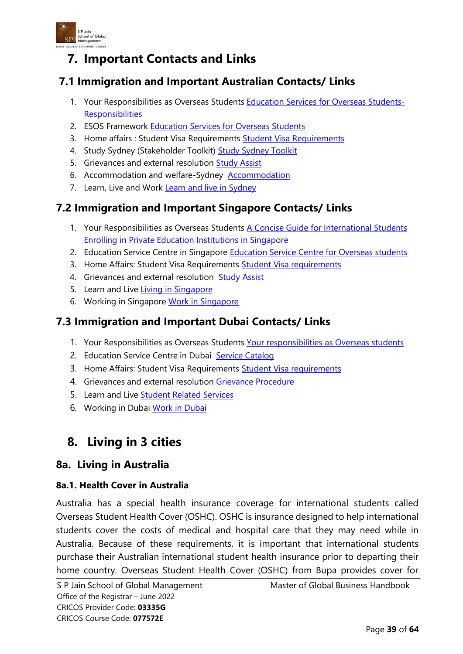

# **7. Important Contacts and Links**

# **7.1 Immigration and Important Australian Contacts/ Links**

- 1. Your Responsibilities as Overseas Students [Education Services for Overseas Students-](https://www.studyinaustralia.gov.au/English/Australian-education/Education-system/ESOS-Act)**[Responsibilities](https://www.studyinaustralia.gov.au/English/Australian-education/Education-system/ESOS-Act)**
- 2. ESOS Framework [Education Services for Overseas Students](https://internationaleducation.gov.au/Regulatory-Information/Pages/Regulatoryinformation.aspx)
- 3. Home affairs : [Student Visa Requirements](https://immi.homeaffairs.gov.au/visas/getting-a-visa/visa-listing/student-500) Student Visa Requirements
- 4. Study Sydney (Stakeholder Toolkit) [Study Sydney Toolkit](https://www.study.sydney/student-welfare/stakeholder-toolkit)
- 5. Grievances and external resolution [Study Assist](https://www.studyassist.gov.au/support-while-you-study/higher-education-student-complaints)
- 6. Accommodation and welfare-Sydney [Accommodation](https://www.study.sydney/student-welfare/accommodation-and-housing)
- 7. Learn, Live and Work [Learn and live in Sydney](http://www.study.sydney/)

# **7.2 Immigration and Important Singapore Contacts/ Links**

- 1. Your Responsibilities as Overseas Students [A Concise Guide for International Students](https://www.ace.edu.sg/documents/CPE/CPE%20Inthttps:/www.ace.edu.sg/documents/CPE/CPE%20International%20Student%20Guide.pdfernational%20Student%20Guide.pdf)  [Enrolling in Private Education Institutions in Singapore](https://www.ace.edu.sg/documents/CPE/CPE%20Inthttps:/www.ace.edu.sg/documents/CPE/CPE%20International%20Student%20Guide.pdfernational%20Student%20Guide.pdf)
- 2. Education Service Centre in Singapore Education Service Centre for Overseas students
- 3. Home Affairs: Student Visa Requirements [Student Visa requirements](https://www.ica.gov.sg/pass/studentpass/ihl)
- 4. Grievances and external resolution [Study Assist](https://www.ssg.gov.sg/cpe/student-services/dispute-resolution.html)
- 5. Learn and Live [Living in Singapore](https://www.mom.gov.sg/working-in-singapore/living-in-singapore)
- 6. Working in Singapore [Work in Singapore](https://www.mom.gov.sg/passes-and-permits/work-pass-exemption-for-foreign-students)

# **7.3 Immigration and Important Dubai Contacts/ Links**

- 1. Your Responsibilities as Overseas Students [Your responsibilities as Overseas students](https://www.khda.gov.ae/en/)
- 2. Education Service Centre in Dubai [Service Catalog](https://www.moe.gov.ae/En/EServices/Pages/ServiceCatalog.aspx)
- 3. Home Affairs: Student Visa Requirements [Student Visa requirements](https://u.ae/en/information-and-services/education/higher-education/student-visa)
- 4. Grievances and external resolution [Grievance Procedure](https://www.khda.gov.ae/CMS/WebParts/TextEditor/Documents/UQAIBGrievanceprocedures_english.pdf)
- 5. Learn and Live [Student Related Services](https://www.khda.gov.ae/en/khdaservices)
- 6. Working in Dubai [Work in Dubai](https://dda.gov.ae/earn-while-you-learn/earn/students/)

# **8. Living in 3 cities**

# **8a. Living in Australia**

### **8a.1. Health Cover in Australia**

Australia has a special health insurance coverage for international students called Overseas Student Health Cover (OSHC). OSHC is insurance designed to help international students cover the costs of medical and hospital care that they may need while in Australia. Because of these requirements, it is important that international students purchase their Australian international student health insurance prior to departing their home country. Overseas Student Health Cover (OSHC) from Bupa provides cover for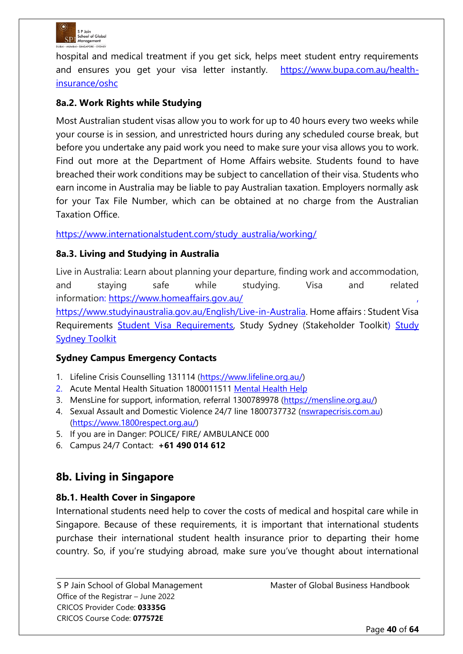

hospital and medical treatment if you get sick, helps meet student entry requirements and ensures you get your visa letter instantly. [https://www.bupa.com.au/health](https://www.bupa.com.au/health-insurance/oshc)[insurance/oshc](https://www.bupa.com.au/health-insurance/oshc)

# **8a.2. Work Rights while Studying**

Most Australian student visas allow you to work for up to 40 hours every two weeks while your course is in session, and unrestricted hours during any scheduled course break, but before you undertake any paid work you need to make sure your visa allows you to work. Find out more at the Department of Home Affairs website. Students found to have breached their work conditions may be subject to cancellation of their visa. Students who earn income in Australia may be liable to pay Australian taxation. Employers normally ask for your Tax File Number, which can be obtained at no charge from the Australian Taxation Office.

[https://www.internationalstudent.com/study\\_australia/working/](https://www.internationalstudent.com/study_australia/working/)

# **8a.3. Living and Studying in Australia**

Live in Australia: Learn about planning your departure, finding work and accommodation, and staying safe while studying. Visa and related information: <https://www.homeaffairs.gov.au/>

[https://www.studyinaustralia.gov.au/English/Live-in-Australia.](https://www.studyinaustralia.gov.au/English/Live-in-Australia) Home affairs : Student Visa Requirements [Student Visa Requirements,](https://immi.homeaffairs.gov.au/visas/getting-a-visa/visa-listing/student-500) [Study](https://www.study.sydney/student-welfare/stakeholder-toolkit) Sydney (Stakeholder Toolkit) Study [Sydney Toolkit](https://www.study.sydney/student-welfare/stakeholder-toolkit)

### **Sydney Campus Emergency Contacts**

- 1. Lifeline Crisis Counselling 131114 [\(https://www.lifeline.org.au/\)](https://www.lifeline.org.au/)
- 2. Acute Mental Health Situation 1800011511 [Mental Health Help](https://www.health.nsw.gov.au/mentalhealth/Pages/contact-service.aspx)
- 3. MensLine for support, information, referral 1300789978 [\(https://mensline.org.au/\)](https://mensline.org.au/)
- 4. Sexual Assault and Domestic Violence 24/7 line 1800737732 (nswrapecrisis.com.au) [\(https://www.1800respect.org.au/\)](https://www.1800respect.org.au/)
- 5. If you are in Danger: POLICE/ FIRE/ AMBULANCE 000
- 6. Campus 24/7 Contact: **+61 490 014 612**

# **8b. Living in Singapore**

### **8b.1. Health Cover in Singapore**

International students need help to cover the costs of medical and hospital care while in Singapore. Because of these requirements, it is important that international students purchase their international student health insurance prior to departing their home country. So, if you're studying abroad, make sure you've thought about international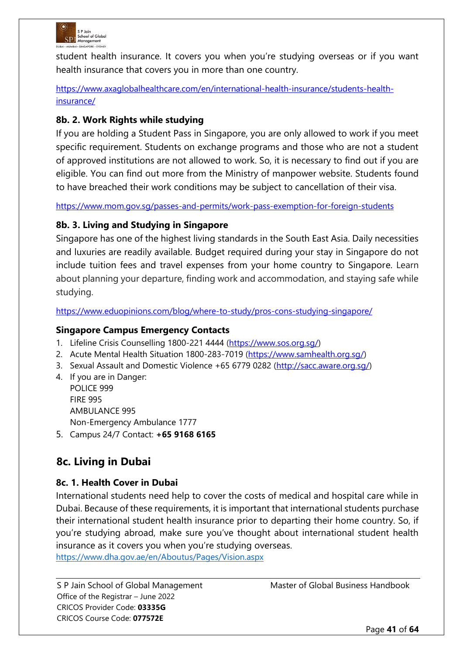

student health insurance. It covers you when you're studying overseas or if you want health insurance that covers you in more than one country.

[https://www.axaglobalhealthcare.com/en/international-health-insurance/students-health](https://www.axaglobalhealthcare.com/en/international-health-insurance/students-health-insurance/)[insurance/](https://www.axaglobalhealthcare.com/en/international-health-insurance/students-health-insurance/)

# **8b. 2. Work Rights while studying**

If you are holding a Student Pass in Singapore, you are only allowed to work if you meet specific requirement. Students on exchange programs and those who are not a student of approved institutions are not allowed to work. So, it is necessary to find out if you are eligible. You can find out more from the Ministry of manpower website. Students found to have breached their work conditions may be subject to cancellation of their visa.

<https://www.mom.gov.sg/passes-and-permits/work-pass-exemption-for-foreign-students>

# **8b. 3. Living and Studying in Singapore**

Singapore has one of the highest living standards in the South East Asia. Daily necessities and luxuries are readily available. Budget required during your stay in Singapore do not include tuition fees and travel expenses from your home country to Singapore. Learn about planning your departure, finding work and accommodation, and staying safe while studying.

<https://www.eduopinions.com/blog/where-to-study/pros-cons-studying-singapore/>

### **Singapore Campus Emergency Contacts**

- 1. Lifeline Crisis Counselling 1800-221 4444 [\(https://www.sos.org.sg/\)](https://www.sos.org.sg/)
- 2. Acute Mental Health Situation 1800-283-7019 [\(https://www.samhealth.org.sg/\)](https://www.samhealth.org.sg/)
- 3. Sexual Assault and Domestic Violence +65 6779 0282 [\(http://sacc.aware.org.sg/\)](http://sacc.aware.org.sg/)
- 4. If you are in Danger: POLICE 999 FIRE 995 AMBULANCE 995 Non-Emergency Ambulance 1777
- 5. Campus 24/7 Contact: **+65 9168 6165**

# **8c. Living in Dubai**

### **8c. 1. Health Cover in Dubai**

International students need help to cover the costs of medical and hospital care while in Dubai. Because of these requirements, it is important that international students purchase their international student health insurance prior to departing their home country. So, if you're studying abroad, make sure you've thought about international student health insurance as it covers you when you're studying overseas.

<https://www.dha.gov.ae/en/Aboutus/Pages/Vision.aspx>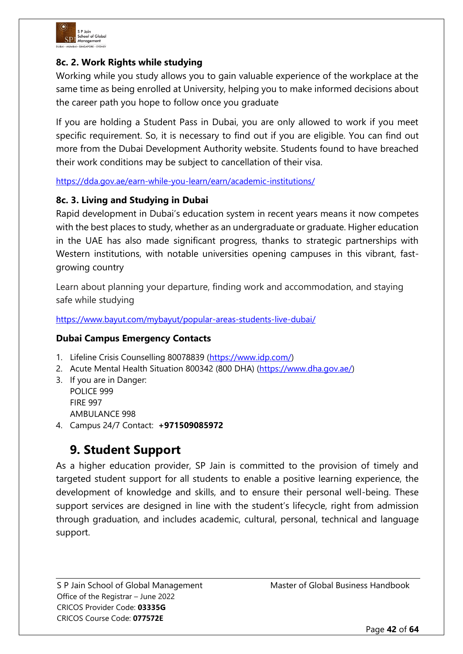

# **8c. 2. Work Rights while studying**

Working while you study allows you to gain valuable experience of the workplace at the same time as being enrolled at University, helping you to make informed decisions about the career path you hope to follow once you graduate

If you are holding a Student Pass in Dubai, you are only allowed to work if you meet specific requirement. So, it is necessary to find out if you are eligible. You can find out more from the Dubai Development Authority website. Students found to have breached their work conditions may be subject to cancellation of their visa.

<https://dda.gov.ae/earn-while-you-learn/earn/academic-institutions/>

### **8c. 3. Living and Studying in Dubai**

Rapid development in Dubai's education system in recent years means it now competes with the best places to study, whether as an undergraduate or graduate. Higher education in the UAE has also made significant progress, thanks to strategic partnerships with Western institutions, with notable universities opening campuses in this vibrant, fastgrowing country

Learn about planning your departure, finding work and accommodation, and staying safe while studying

<https://www.bayut.com/mybayut/popular-areas-students-live-dubai/>

### **Dubai Campus Emergency Contacts**

- 1. Lifeline Crisis Counselling 80078839 [\(https://www.idp.com/\)](https://www.idp.com/)
- 2. Acute Mental Health Situation 800342 (800 DHA) [\(https://www.dha.gov.ae/\)](https://www.dha.gov.ae/)
- 3. If you are in Danger: POLICE 999 FIRE 997 AMBULANCE 998
- 4. Campus 24/7 Contact: **+971509085972**

# **9. Student Support**

As a higher education provider, SP Jain is committed to the provision of timely and targeted student support for all students to enable a positive learning experience, the development of knowledge and skills, and to ensure their personal well-being. These support services are designed in line with the student's lifecycle, right from admission through graduation, and includes academic, cultural, personal, technical and language support.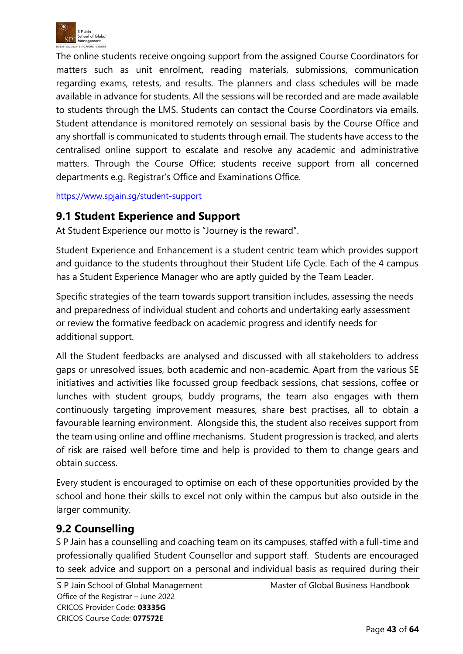

The online students receive ongoing support from the assigned Course Coordinators for matters such as unit enrolment, reading materials, submissions, communication regarding exams, retests, and results. The planners and class schedules will be made available in advance for students. All the sessions will be recorded and are made available to students through the LMS. Students can contact the Course Coordinators via emails. Student attendance is monitored remotely on sessional basis by the Course Office and any shortfall is communicated to students through email. The students have access to the centralised online support to escalate and resolve any academic and administrative matters. Through the Course Office; students receive support from all concerned departments e.g. Registrar's Office and Examinations Office.

<https://www.spjain.sg/student-support>

# **9.1 Student Experience and Support**

At Student Experience our motto is "Journey is the reward".

Student Experience and Enhancement is a student centric team which provides support and guidance to the students throughout their Student Life Cycle. Each of the 4 campus has a Student Experience Manager who are aptly guided by the Team Leader.

Specific strategies of the team towards support transition includes, assessing the needs and preparedness of individual student and cohorts and undertaking early assessment or review the formative feedback on academic progress and identify needs for additional support.

All the Student feedbacks are analysed and discussed with all stakeholders to address gaps or unresolved issues, both academic and non-academic. Apart from the various SE initiatives and activities like focussed group feedback sessions, chat sessions, coffee or lunches with student groups, buddy programs, the team also engages with them continuously targeting improvement measures, share best practises, all to obtain a favourable learning environment. Alongside this, the student also receives support from the team using online and offline mechanisms. Student progression is tracked, and alerts of risk are raised well before time and help is provided to them to change gears and obtain success.

Every student is encouraged to optimise on each of these opportunities provided by the school and hone their skills to excel not only within the campus but also outside in the larger community.

# **9.2 Counselling**

S P Jain has a counselling and coaching team on its campuses, staffed with a full-time and professionally qualified Student Counsellor and support staff. Students are encouraged to seek advice and support on a personal and individual basis as required during their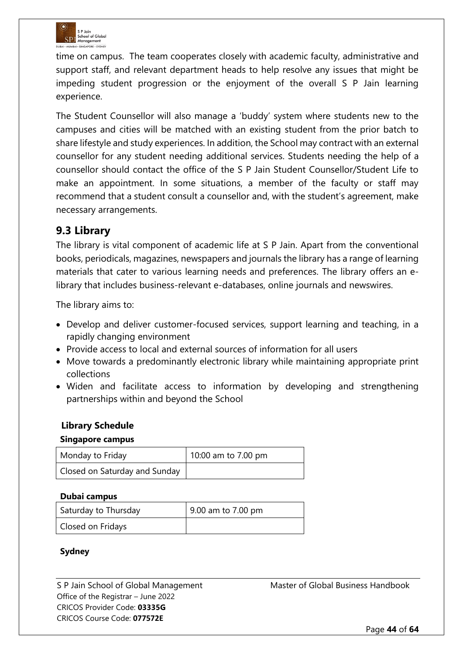

time on campus. The team cooperates closely with academic faculty, administrative and support staff, and relevant department heads to help resolve any issues that might be impeding student progression or the enjoyment of the overall S P Jain learning experience.

The Student Counsellor will also manage a 'buddy' system where students new to the campuses and cities will be matched with an existing student from the prior batch to share lifestyle and study experiences. In addition, the School may contract with an external counsellor for any student needing additional services. Students needing the help of a counsellor should contact the office of the S P Jain Student Counsellor/Student Life to make an appointment. In some situations, a member of the faculty or staff may recommend that a student consult a counsellor and, with the student's agreement, make necessary arrangements.

# **9.3 Library**

The library is vital component of academic life at S P Jain. Apart from the conventional books, periodicals, magazines, newspapers and journals the library has a range of learning materials that cater to various learning needs and preferences. The library offers an elibrary that includes business-relevant e-databases, online journals and newswires.

The library aims to:

- Develop and deliver customer-focused services, support learning and teaching, in a rapidly changing environment
- Provide access to local and external sources of information for all users
- Move towards a predominantly electronic library while maintaining appropriate print collections
- Widen and facilitate access to information by developing and strengthening partnerships within and beyond the School

### **Library Schedule**

#### **Singapore campus**

| Monday to Friday              | 10:00 am to 7.00 pm |
|-------------------------------|---------------------|
| Closed on Saturday and Sunday |                     |

#### **Dubai campus**

| Saturday to Thursday | 9.00 am to 7.00 pm |
|----------------------|--------------------|
| Closed on Fridays    |                    |

### **Sydney**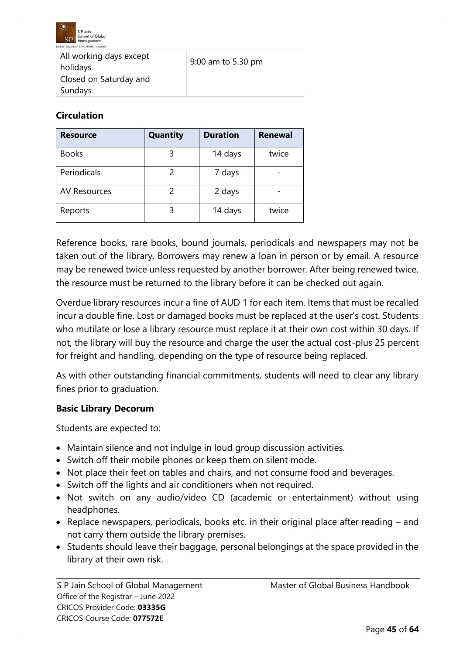

| All working days except<br>holidays | 9:00 am to 5.30 pm |
|-------------------------------------|--------------------|
| Closed on Saturday and<br>Sundays   |                    |

# **Circulation**

| <b>Resource</b>     | <b>Quantity</b> | <b>Duration</b> | <b>Renewal</b> |
|---------------------|-----------------|-----------------|----------------|
| <b>Books</b>        | 3               | 14 days         | twice          |
| Periodicals         |                 | 7 days          |                |
| <b>AV Resources</b> |                 | 2 days          |                |
| Reports             | 3               | 14 days         | twice          |

Reference books, rare books, bound journals, periodicals and newspapers may not be taken out of the library. Borrowers may renew a loan in person or by email. A resource may be renewed twice unless requested by another borrower. After being renewed twice, the resource must be returned to the library before it can be checked out again.

Overdue library resources incur a fine of AUD 1 for each item. Items that must be recalled incur a double fine. Lost or damaged books must be replaced at the user's cost. Students who mutilate or lose a library resource must replace it at their own cost within 30 days. If not, the library will buy the resource and charge the user the actual cost-plus 25 percent for freight and handling, depending on the type of resource being replaced.

As with other outstanding financial commitments, students will need to clear any library fines prior to graduation.

### **Basic Library Decorum**

Students are expected to:

- Maintain silence and not indulge in loud group discussion activities.
- Switch off their mobile phones or keep them on silent mode.
- Not place their feet on tables and chairs, and not consume food and beverages.
- Switch off the lights and air conditioners when not required.
- Not switch on any audio/video CD (academic or entertainment) without using headphones.
- Replace newspapers, periodicals, books etc. in their original place after reading and not carry them outside the library premises.
- Students should leave their baggage, personal belongings at the space provided in the library at their own risk.

Office of the Registrar – June 2022 CRICOS Provider Code: **03335G** CRICOS Course Code: **077572E**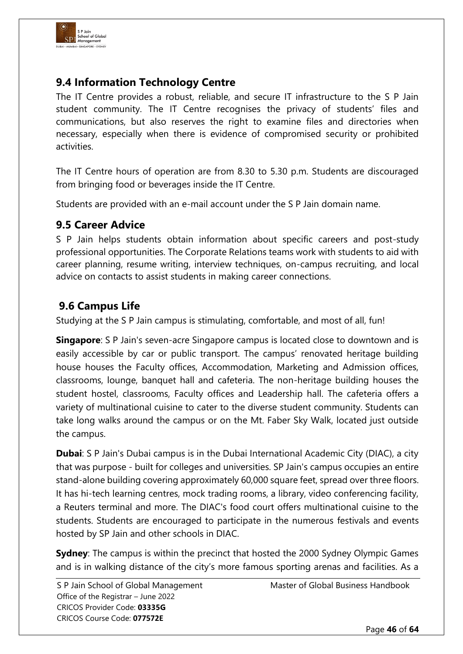

# **9.4 Information Technology Centre**

The IT Centre provides a robust, reliable, and secure IT infrastructure to the S P Jain student community. The IT Centre recognises the privacy of students' files and communications, but also reserves the right to examine files and directories when necessary, especially when there is evidence of compromised security or prohibited activities.

The IT Centre hours of operation are from 8.30 to 5.30 p.m. Students are discouraged from bringing food or beverages inside the IT Centre.

Students are provided with an e-mail account under the S P Jain domain name.

# **9.5 Career Advice**

S P Jain helps students obtain information about specific careers and post-study professional opportunities. The Corporate Relations teams work with students to aid with career planning, resume writing, interview techniques, on-campus recruiting, and local advice on contacts to assist students in making career connections.

# **9.6 Campus Life**

Studying at the S P Jain campus is stimulating, comfortable, and most of all, fun!

**Singapore**: S P Jain's seven-acre Singapore campus is located close to downtown and is easily accessible by car or public transport. The campus' renovated heritage building house houses the Faculty offices, Accommodation, Marketing and Admission offices, classrooms, lounge, banquet hall and cafeteria. The non-heritage building houses the student hostel, classrooms, Faculty offices and Leadership hall. The cafeteria offers a variety of multinational cuisine to cater to the diverse student community. Students can take long walks around the campus or on the Mt. Faber Sky Walk, located just outside the campus.

**Dubai**: S P Jain's Dubai campus is in the Dubai International Academic City (DIAC), a city that was purpose - built for colleges and universities. SP Jain's campus occupies an entire stand-alone building covering approximately 60,000 square feet, spread over three floors. It has hi-tech learning centres, mock trading rooms, a library, video conferencing facility, a Reuters terminal and more. The DIAC's food court offers multinational cuisine to the students. Students are encouraged to participate in the numerous festivals and events hosted by SP Jain and other schools in DIAC.

**Sydney**: The campus is within the precinct that hosted the 2000 Sydney Olympic Games and is in walking distance of the city's more famous sporting arenas and facilities. As a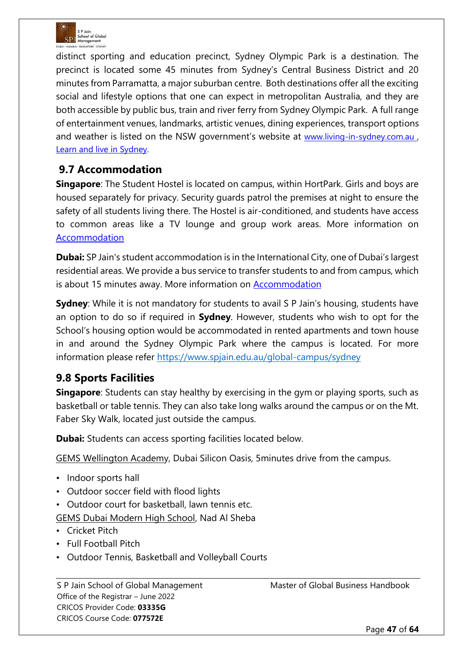

distinct sporting and education precinct, Sydney Olympic Park is a destination. The precinct is located some 45 minutes from Sydney's Central Business District and 20 minutes from Parramatta, a major suburban centre. Both destinations offer all the exciting social and lifestyle options that one can expect in metropolitan Australia, and they are both accessible by public bus, train and river ferry from Sydney Olympic Park. A full range of entertainment venues, landmarks, artistic venues, dining experiences, transport options and weather is listed on the NSW government's website at [www.living-in-sydney.com.au](http://www.living-in-sydney.com.au/), [Learn and live in Sydney.](http://www.study.sydney/)

# **9.7 Accommodation**

**Singapore**: The Student Hostel is located on campus, within HortPark. Girls and boys are housed separately for privacy. Security guards patrol the premises at night to ensure the safety of all students living there. The Hostel is air-conditioned, and students have access to common areas like a TV lounge and group work areas. More information o[n](https://www.spjain.org/global-campus/singapore) [Accommodation](https://www.spjain.org/global-campus/singapore)

**Dubai:** SP Jain's student accommodation is in the International City, one of Dubai's largest residential areas. We provide a bus service to transfer students to and from campus, which is about 15 minutes away. More information on [Accommodation](https://www.spjain.org/global-campus/dubai)

**Sydney**: While it is not mandatory for students to avail S P Jain's housing, students have an option to do so if required in **Sydney**. However, students who wish to opt for the School's housing option would be accommodated in rented apartments and town house in and around the Sydney Olympic Park where the campus is located. For more information please refer<https://www.spjain.edu.au/global-campus/sydney>

# **9.8 Sports Facilities**

**Singapore**: Students can stay healthy by exercising in the gym or playing sports, such as basketball or table tennis. They can also take long walks around the campus or on the Mt. Faber Sky Walk, located just outside the campus.

**Dubai:** Students can access sporting facilities located below.

GEMS Wellington Academy, Dubai Silicon Oasis, 5minutes drive from the campus.

- Indoor sports hall
- Outdoor soccer field with flood lights
- Outdoor court for basketball, lawn tennis etc.

GEMS Dubai Modern High School, Nad Al Sheba

- Cricket Pitch
- Full Football Pitch
- Outdoor Tennis, Basketball and Volleyball Courts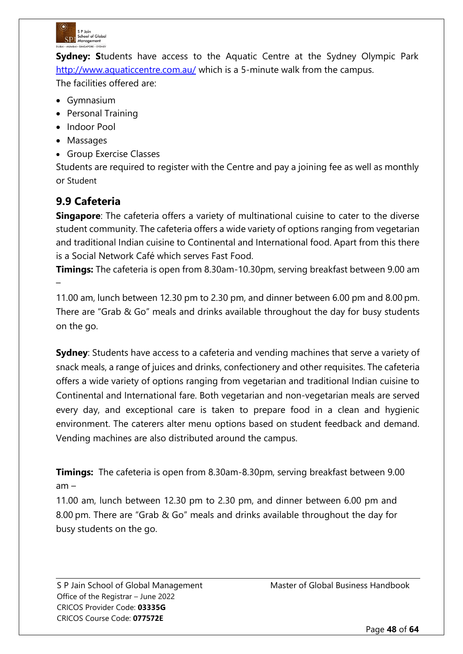

**Sydney: S**tudents have access to the Aquatic Centre at the Sydney Olympic Park <http://www.aquaticcentre.com.au/> which is a 5-minute walk from the campus. The facilities offered are:

- Gymnasium
- Personal Training
- Indoor Pool
- Massages
- Group Exercise Classes

Students are required to register with the Centre and pay a joining fee as well as monthly or Student

# **9.9 Cafeteria**

–

**Singapore**: The cafeteria offers a variety of multinational cuisine to cater to the diverse student community. The cafeteria offers a wide variety of options ranging from vegetarian and traditional Indian cuisine to Continental and International food. Apart from this there is a Social Network Café which serves Fast Food.

**Timings:** The cafeteria is open from 8.30am-10.30pm, serving breakfast between 9.00 am

11.00 am, lunch between 12.30 pm to 2.30 pm, and dinner between 6.00 pm and 8.00 pm. There are "Grab & Go" meals and drinks available throughout the day for busy students on the go.

**Sydney**: Students have access to a cafeteria and vending machines that serve a variety of snack meals, a range of juices and drinks, confectionery and other requisites. The cafeteria offers a wide variety of options ranging from vegetarian and traditional Indian cuisine to Continental and International fare. Both vegetarian and non-vegetarian meals are served every day, and exceptional care is taken to prepare food in a clean and hygienic environment. The caterers alter menu options based on student feedback and demand. Vending machines are also distributed around the campus.

**Timings:** The cafeteria is open from 8.30am-8.30pm, serving breakfast between 9.00 am –

11.00 am, lunch between 12.30 pm to 2.30 pm, and dinner between 6.00 pm and 8.00 pm. There are "Grab & Go" meals and drinks available throughout the day for busy students on the go.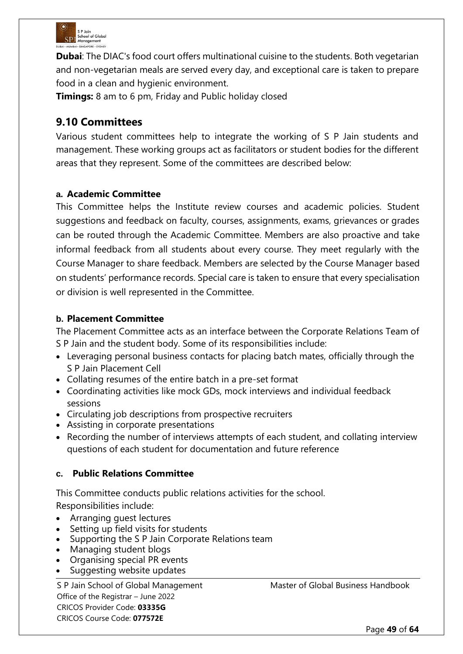

**Dubai:** The DIAC's food court offers multinational cuisine to the students. Both vegetarian and non-vegetarian meals are served every day, and exceptional care is taken to prepare food in a clean and hygienic environment.

**Timings:** 8 am to 6 pm, Friday and Public holiday closed

# **9.10 Committees**

Various student committees help to integrate the working of S P Jain students and management. These working groups act as facilitators or student bodies for the different areas that they represent. Some of the committees are described below:

# **a. Academic Committee**

This Committee helps the Institute review courses and academic policies. Student suggestions and feedback on faculty, courses, assignments, exams, grievances or grades can be routed through the Academic Committee. Members are also proactive and take informal feedback from all students about every course. They meet regularly with the Course Manager to share feedback. Members are selected by the Course Manager based on students' performance records. Special care is taken to ensure that every specialisation or division is well represented in the Committee.

# **b. Placement Committee**

The Placement Committee acts as an interface between the Corporate Relations Team of S P Jain and the student body. Some of its responsibilities include:

- Leveraging personal business contacts for placing batch mates, officially through the S P Jain Placement Cell
- Collating resumes of the entire batch in a pre-set format
- Coordinating activities like mock GDs, mock interviews and individual feedback sessions
- Circulating job descriptions from prospective recruiters
- Assisting in corporate presentations
- Recording the number of interviews attempts of each student, and collating interview questions of each student for documentation and future reference

# **c. Public Relations Committee**

This Committee conducts public relations activities for the school. Responsibilities include:

- Arranging guest lectures
- Setting up field visits for students
- Supporting the S P Jain Corporate Relations team
- Managing student blogs
- Organising special PR events
- Suggesting website updates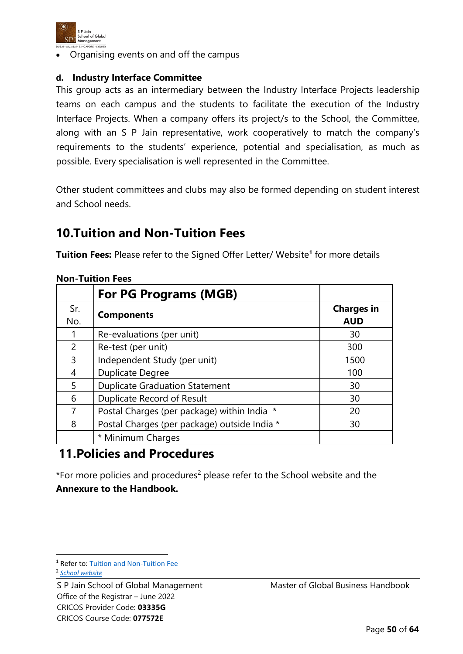

• Organising events on and off the campus

### **d. Industry Interface Committee**

This group acts as an intermediary between the Industry Interface Projects leadership teams on each campus and the students to facilitate the execution of the Industry Interface Projects. When a company offers its project/s to the School, the Committee, along with an S P Jain representative, work cooperatively to match the company's requirements to the students' experience, potential and specialisation, as much as possible. Every specialisation is well represented in the Committee.

Other student committees and clubs may also be formed depending on student interest and School needs.

# **10.Tuition and Non-Tuition Fees**

**Tuition Fees:** Please refer to the Signed Offer Letter/ Website**<sup>1</sup>** for more details

|            | <b>For PG Programs (MGB)</b>                 |                                 |
|------------|----------------------------------------------|---------------------------------|
| Sr.<br>No. | <b>Components</b>                            | <b>Charges in</b><br><b>AUD</b> |
| 1          | Re-evaluations (per unit)                    | 30                              |
| 2          | Re-test (per unit)                           | 300                             |
| 3          | Independent Study (per unit)                 | 1500                            |
| 4          | <b>Duplicate Degree</b>                      | 100                             |
| 5          | <b>Duplicate Graduation Statement</b>        | 30                              |
| 6          | <b>Duplicate Record of Result</b>            | 30                              |
|            | Postal Charges (per package) within India *  | 20                              |
| 8          | Postal Charges (per package) outside India * | 30                              |
|            | * Minimum Charges                            |                                 |

### **Non-Tuition Fees**

# **11.Policies and Procedures**

\*For more policies and procedures<sup>2</sup> please refer to the School website and the **Annexure to the Handbook.**

<sup>1</sup> Refer to: [Tuition and Non-Tuition Fee](https://www.spjain.org/programs/postgraduate/gmba/fees)

2 *[School website](https://www.spjain.edu.au/)*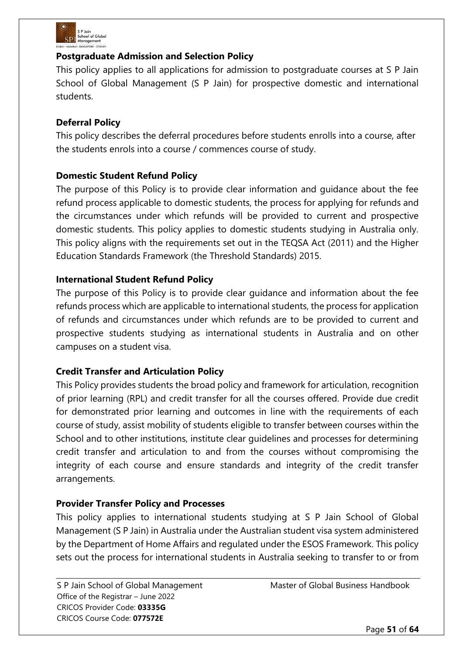

# **Postgraduate Admission and Selection Policy**

This policy applies to all applications for admission to postgraduate courses at S P Jain School of Global Management (S P Jain) for prospective domestic and international students.

# **Deferral Policy**

This policy describes the deferral procedures before students enrolls into a course, after the students enrols into a course / commences course of study.

# **Domestic Student Refund Policy**

The purpose of this Policy is to provide clear information and guidance about the fee refund process applicable to domestic students, the process for applying for refunds and the circumstances under which refunds will be provided to current and prospective domestic students. This policy applies to domestic students studying in Australia only. This policy aligns with the requirements set out in the TEQSA Act (2011) and the Higher Education Standards Framework (the Threshold Standards) 2015.

# **International Student Refund Policy**

The purpose of this Policy is to provide clear guidance and information about the fee refunds process which are applicable to international students, the process for application of refunds and circumstances under which refunds are to be provided to current and prospective students studying as international students in Australia and on other campuses on a student visa.

### **Credit Transfer and Articulation Policy**

This Policy provides students the broad policy and framework for articulation, recognition of prior learning (RPL) and credit transfer for all the courses offered. Provide due credit for demonstrated prior learning and outcomes in line with the requirements of each course of study, assist mobility of students eligible to transfer between courses within the School and to other institutions, institute clear guidelines and processes for determining credit transfer and articulation to and from the courses without compromising the integrity of each course and ensure standards and integrity of the credit transfer arrangements.

### **Provider Transfer Policy and Processes**

This policy applies to international students studying at S P Jain School of Global Management (S P Jain) in Australia under the Australian student visa system administered by the Department of Home Affairs and regulated under the ESOS Framework. This policy sets out the process for international students in Australia seeking to transfer to or from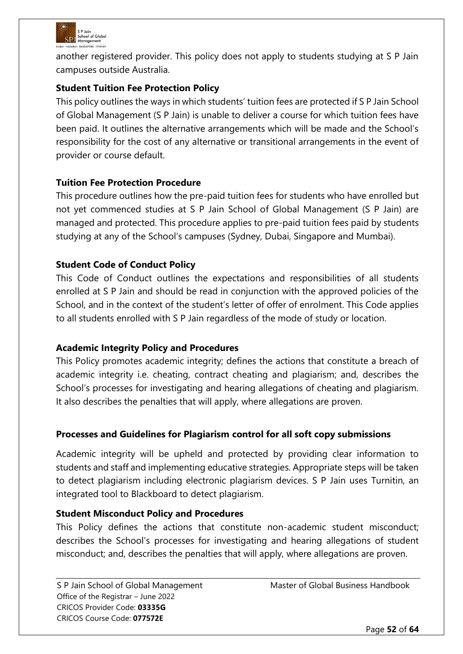

another registered provider. This policy does not apply to students studying at S P Jain campuses outside Australia.

# **Student Tuition Fee Protection Policy**

This policy outlines the ways in which students' tuition fees are protected if S P Jain School of Global Management (S P Jain) is unable to deliver a course for which tuition fees have been paid. It outlines the alternative arrangements which will be made and the School's responsibility for the cost of any alternative or transitional arrangements in the event of provider or course default.

# **Tuition Fee Protection Procedure**

This procedure outlines how the pre-paid tuition fees for students who have enrolled but not yet commenced studies at S P Jain School of Global Management (S P Jain) are managed and protected. This procedure applies to pre-paid tuition fees paid by students studying at any of the School's campuses (Sydney, Dubai, Singapore and Mumbai).

# **Student Code of Conduct Policy**

This Code of Conduct outlines the expectations and responsibilities of all students enrolled at S P Jain and should be read in conjunction with the approved policies of the School, and in the context of the student's letter of offer of enrolment. This Code applies to all students enrolled with S P Jain regardless of the mode of study or location.

### **Academic Integrity Policy and Procedures**

This Policy promotes academic integrity; defines the actions that constitute a breach of academic integrity i.e. cheating, contract cheating and plagiarism; and, describes the School's processes for investigating and hearing allegations of cheating and plagiarism. It also describes the penalties that will apply, where allegations are proven.

# **Processes and Guidelines for Plagiarism control for all soft copy submissions**

Academic integrity will be upheld and protected by providing clear information to students and staff and implementing educative strategies. Appropriate steps will be taken to detect plagiarism including electronic plagiarism devices. S P Jain uses Turnitin, an integrated tool to Blackboard to detect plagiarism.

### **Student Misconduct Policy and Procedures**

This Policy defines the actions that constitute non-academic student misconduct; describes the School's processes for investigating and hearing allegations of student misconduct; and, describes the penalties that will apply, where allegations are proven.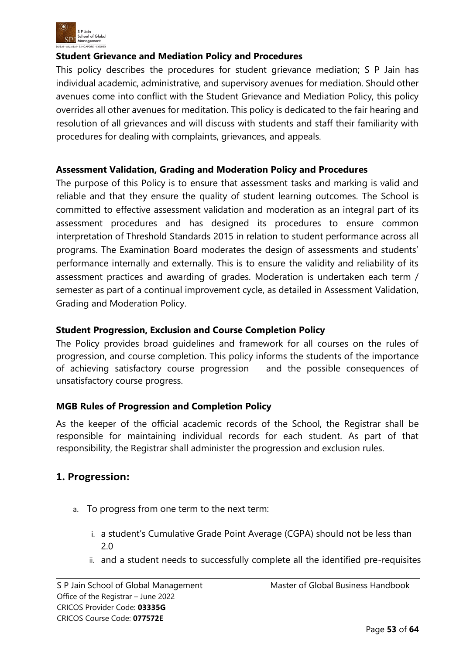

### **Student Grievance and Mediation Policy and Procedures**

This policy describes the procedures for student grievance mediation; S P Jain has individual academic, administrative, and supervisory avenues for mediation. Should other avenues come into conflict with the Student Grievance and Mediation Policy, this policy overrides all other avenues for meditation. This policy is dedicated to the fair hearing and resolution of all grievances and will discuss with students and staff their familiarity with procedures for dealing with complaints, grievances, and appeals.

# **Assessment Validation, Grading and Moderation Policy and Procedures**

The purpose of this Policy is to ensure that assessment tasks and marking is valid and reliable and that they ensure the quality of student learning outcomes. The School is committed to effective assessment validation and moderation as an integral part of its assessment procedures and has designed its procedures to ensure common interpretation of Threshold Standards 2015 in relation to student performance across all programs. The Examination Board moderates the design of assessments and students' performance internally and externally. This is to ensure the validity and reliability of its assessment practices and awarding of grades. Moderation is undertaken each term / semester as part of a continual improvement cycle, as detailed in Assessment Validation, Grading and Moderation Policy.

### **Student Progression, Exclusion and Course Completion Policy**

The Policy provides broad guidelines and framework for all courses on the rules of progression, and course completion. This policy informs the students of the importance of achieving satisfactory course progression and the possible consequences of unsatisfactory course progress.

### **MGB Rules of Progression and Completion Policy**

As the keeper of the official academic records of the School, the Registrar shall be responsible for maintaining individual records for each student. As part of that responsibility, the Registrar shall administer the progression and exclusion rules.

# **1. Progression:**

- a. To progress from one term to the next term:
	- i. a student's Cumulative Grade Point Average (CGPA) should not be less than 2.0
	- ii. and a student needs to successfully complete all the identified pre-requisites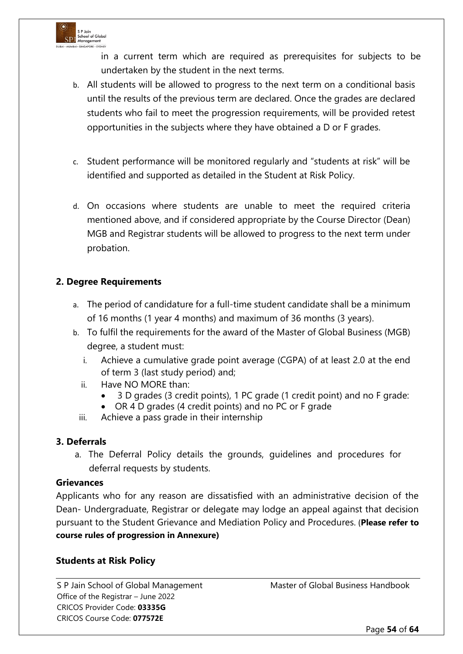

in a current term which are required as prerequisites for subjects to be undertaken by the student in the next terms.

- b. All students will be allowed to progress to the next term on a conditional basis until the results of the previous term are declared. Once the grades are declared students who fail to meet the progression requirements, will be provided retest opportunities in the subjects where they have obtained a D or F grades.
- c. Student performance will be monitored regularly and "students at risk" will be identified and supported as detailed in the Student at Risk Policy.
- d. On occasions where students are unable to meet the required criteria mentioned above, and if considered appropriate by the Course Director (Dean) MGB and Registrar students will be allowed to progress to the next term under probation.

# **2. Degree Requirements**

- a. The period of candidature for a full-time student candidate shall be a minimum of 16 months (1 year 4 months) and maximum of 36 months (3 years).
- b. To fulfil the requirements for the award of the Master of Global Business (MGB) degree, a student must:
	- i. Achieve a cumulative grade point average (CGPA) of at least 2.0 at the end of term 3 (last study period) and;
	- ii. Have NO MORE than:
		- 3 D grades (3 credit points), 1 PC grade (1 credit point) and no F grade:
		- OR 4 D grades (4 credit points) and no PC or F grade
	- iii. Achieve a pass grade in their internship

### **3. Deferrals**

a. The Deferral Policy details the grounds, guidelines and procedures for deferral requests by students.

### **Grievances**

Applicants who for any reason are dissatisfied with an administrative decision of the Dean- Undergraduate, Registrar or delegate may lodge an appeal against that decision pursuant to the Student Grievance and Mediation Policy and Procedures. (**Please refer to course rules of progression in Annexure)**

### **Students at Risk Policy**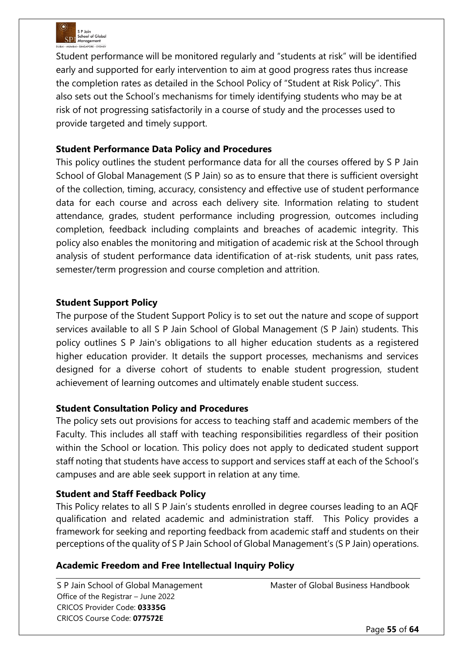

Student performance will be monitored regularly and "students at risk" will be identified early and supported for early intervention to aim at good progress rates thus increase the completion rates as detailed in the School Policy of "Student at Risk Policy". This also sets out the School's mechanisms for timely identifying students who may be at risk of not progressing satisfactorily in a course of study and the processes used to provide targeted and timely support.

### **Student Performance Data Policy and Procedures**

This policy outlines the student performance data for all the courses offered by S P Jain School of Global Management (S P Jain) so as to ensure that there is sufficient oversight of the collection, timing, accuracy, consistency and effective use of student performance data for each course and across each delivery site. Information relating to student attendance, grades, student performance including progression, outcomes including completion, feedback including complaints and breaches of academic integrity. This policy also enables the monitoring and mitigation of academic risk at the School through analysis of student performance data identification of at-risk students, unit pass rates, semester/term progression and course completion and attrition.

### **Student Support Policy**

The purpose of the Student Support Policy is to set out the nature and scope of support services available to all S P Jain School of Global Management (S P Jain) students. This policy outlines S P Jain's obligations to all higher education students as a registered higher education provider. It details the support processes, mechanisms and services designed for a diverse cohort of students to enable student progression, student achievement of learning outcomes and ultimately enable student success.

### **Student Consultation Policy and Procedures**

The policy sets out provisions for access to teaching staff and academic members of the Faculty. This includes all staff with teaching responsibilities regardless of their position within the School or location. This policy does not apply to dedicated student support staff noting that students have access to support and services staff at each of the School's campuses and are able seek support in relation at any time.

### **Student and Staff Feedback Policy**

This Policy relates to all S P Jain's students enrolled in degree courses leading to an AQF qualification and related academic and administration staff. This Policy provides a framework for seeking and reporting feedback from academic staff and students on their perceptions of the quality of S P Jain School of Global Management's (S P Jain) operations.

### **Academic Freedom and Free Intellectual Inquiry Policy**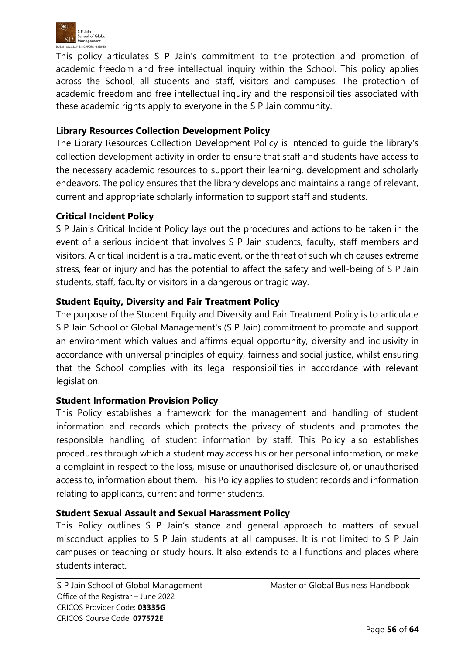

This policy articulates S P Jain's commitment to the protection and promotion of academic freedom and free intellectual inquiry within the School. This policy applies across the School, all students and staff, visitors and campuses. The protection of academic freedom and free intellectual inquiry and the responsibilities associated with these academic rights apply to everyone in the S P Jain community.

### **Library Resources Collection Development Policy**

The Library Resources Collection Development Policy is intended to guide the library's collection development activity in order to ensure that staff and students have access to the necessary academic resources to support their learning, development and scholarly endeavors. The policy ensures that the library develops and maintains a range of relevant, current and appropriate scholarly information to support staff and students.

#### **Critical Incident Policy**

S P Jain's Critical Incident Policy lays out the procedures and actions to be taken in the event of a serious incident that involves S P Jain students, faculty, staff members and visitors. A critical incident is a traumatic event, or the threat of such which causes extreme stress, fear or injury and has the potential to affect the safety and well-being of S P Jain students, staff, faculty or visitors in a dangerous or tragic way.

#### **Student Equity, Diversity and Fair Treatment Policy**

The purpose of the Student Equity and Diversity and Fair Treatment Policy is to articulate S P Jain School of Global Management's (S P Jain) commitment to promote and support an environment which values and affirms equal opportunity, diversity and inclusivity in accordance with universal principles of equity, fairness and social justice, whilst ensuring that the School complies with its legal responsibilities in accordance with relevant legislation.

### **Student Information Provision Policy**

This Policy establishes a framework for the management and handling of student information and records which protects the privacy of students and promotes the responsible handling of student information by staff. This Policy also establishes procedures through which a student may access his or her personal information, or make a complaint in respect to the loss, misuse or unauthorised disclosure of, or unauthorised access to, information about them. This Policy applies to student records and information relating to applicants, current and former students.

#### **Student Sexual Assault and Sexual Harassment Policy**

This Policy outlines S P Jain's stance and general approach to matters of sexual misconduct applies to S P Jain students at all campuses. It is not limited to S P Jain campuses or teaching or study hours. It also extends to all functions and places where students interact.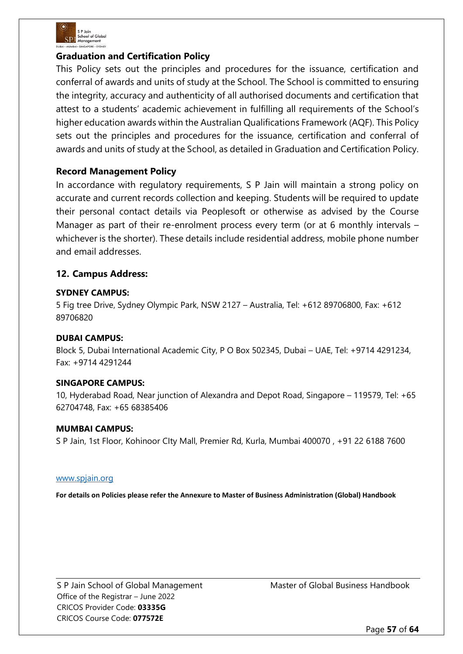

#### **Graduation and Certification Policy**

This Policy sets out the principles and procedures for the issuance, certification and conferral of awards and units of study at the School. The School is committed to ensuring the integrity, accuracy and authenticity of all authorised documents and certification that attest to a students' academic achievement in fulfilling all requirements of the School's higher education awards within the Australian Qualifications Framework (AQF). This Policy sets out the principles and procedures for the issuance, certification and conferral of awards and units of study at the School, as detailed in Graduation and Certification Policy.

### **Record Management Policy**

In accordance with regulatory requirements, S P Jain will maintain a strong policy on accurate and current records collection and keeping. Students will be required to update their personal contact details via Peoplesoft or otherwise as advised by the Course Manager as part of their re-enrolment process every term (or at 6 monthly intervals – whichever is the shorter). These details include residential address, mobile phone number and email addresses.

#### **12. Campus Address:**

#### **SYDNEY CAMPUS:**

5 Fig tree Drive, Sydney Olympic Park, NSW 2127 – Australia, Tel: +612 89706800, Fax: +612 89706820

#### **DUBAI CAMPUS:**

Block 5, Dubai International Academic City, P O Box 502345, Dubai – UAE, Tel: +9714 4291234, Fax: +9714 4291244

#### **SINGAPORE CAMPUS:**

10, Hyderabad Road, Near junction of Alexandra and Depot Road, Singapore – 119579, Tel: +65 62704748, Fax: +65 68385406

#### **MUMBAI CAMPUS:**

S P Jain, 1st Floor, Kohinoor CIty Mall, Premier Rd, Kurla, Mumbai 400070 , +91 22 6188 7600

#### [www.spjain.org](http://www.spjain.org/)

**For details on Policies please refer the Annexure to Master of Business Administration (Global) Handbook**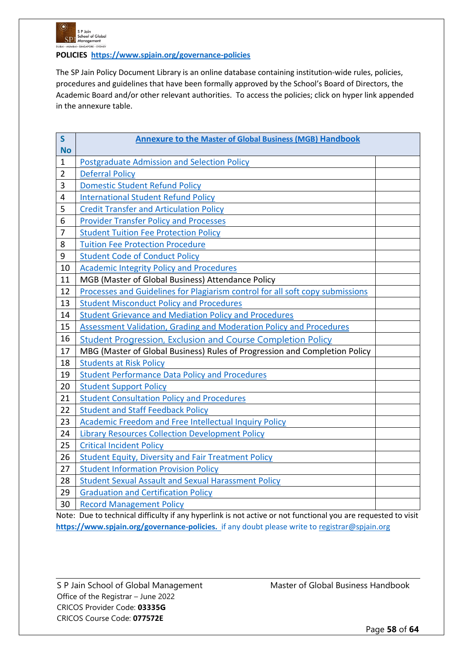

**POLICIES <https://www.spjain.org/governance-policies>**

The SP Jain Policy Document Library is an online database containing institution-wide rules, policies, procedures and guidelines that have been formally approved by the School's Board of Directors, the Academic Board and/or other relevant authorities. To access the policies; click on hyper link appended in the annexure table.

| $\mathsf{S}$   | <b>Annexure to the Master of Global Business (MGB) Handbook</b>               |  |
|----------------|-------------------------------------------------------------------------------|--|
| <b>No</b>      |                                                                               |  |
| $\mathbf{1}$   | <b>Postgraduate Admission and Selection Policy</b>                            |  |
| $\overline{2}$ | <b>Deferral Policy</b>                                                        |  |
| 3              | <b>Domestic Student Refund Policy</b>                                         |  |
| 4              | <b>International Student Refund Policy</b>                                    |  |
| 5              | <b>Credit Transfer and Articulation Policy</b>                                |  |
| 6              | <b>Provider Transfer Policy and Processes</b>                                 |  |
| 7              | <b>Student Tuition Fee Protection Policy</b>                                  |  |
| 8              | <b>Tuition Fee Protection Procedure</b>                                       |  |
| 9              | <b>Student Code of Conduct Policy</b>                                         |  |
| 10             | <b>Academic Integrity Policy and Procedures</b>                               |  |
| 11             | MGB (Master of Global Business) Attendance Policy                             |  |
| 12             | Processes and Guidelines for Plagiarism control for all soft copy submissions |  |
| 13             | <b>Student Misconduct Policy and Procedures</b>                               |  |
| 14             | <b>Student Grievance and Mediation Policy and Procedures</b>                  |  |
| 15             | <b>Assessment Validation, Grading and Moderation Policy and Procedures</b>    |  |
| 16             | <b>Student Progression, Exclusion and Course Completion Policy</b>            |  |
| 17             | MBG (Master of Global Business) Rules of Progression and Completion Policy    |  |
| 18             | <b>Students at Risk Policy</b>                                                |  |
| 19             | <b>Student Performance Data Policy and Procedures</b>                         |  |
| 20             | <b>Student Support Policy</b>                                                 |  |
| 21             | <b>Student Consultation Policy and Procedures</b>                             |  |
| 22             | <b>Student and Staff Feedback Policy</b>                                      |  |
| 23             | <b>Academic Freedom and Free Intellectual Inquiry Policy</b>                  |  |
| 24             | <b>Library Resources Collection Development Policy</b>                        |  |
| 25             | <b>Critical Incident Policy</b>                                               |  |
| 26             | <b>Student Equity, Diversity and Fair Treatment Policy</b>                    |  |
| 27             | <b>Student Information Provision Policy</b>                                   |  |
| 28             | <b>Student Sexual Assault and Sexual Harassment Policy</b>                    |  |
| 29             | <b>Graduation and Certification Policy</b>                                    |  |
| 30             | <b>Record Management Policy</b>                                               |  |
|                |                                                                               |  |

Note: Due to technical difficulty if any hyperlink is not active or not functional you are requested to visit **[https://www.spjain.org/governance-policies.](https://www.spjain.org/governance-policies)** if any doubt please write to [registrar@spjain.org](mailto:registrar@spjain.org)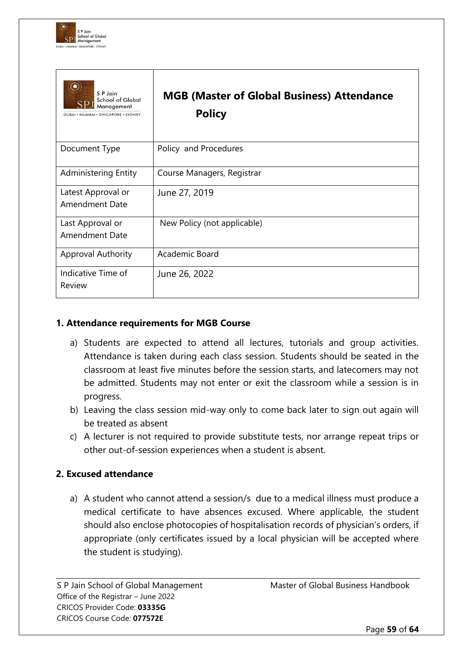

| S P Jain<br><b>School of Global</b><br>Management<br>DUBAI · MUMBAI · SINGAPORE · SYDNEY | <b>MGB (Master of Global Business) Attendance</b><br><b>Policy</b> |
|------------------------------------------------------------------------------------------|--------------------------------------------------------------------|
| Document Type                                                                            | Policy and Procedures                                              |
| Administering Entity                                                                     | Course Managers, Registrar                                         |
| Latest Approval or<br><b>Amendment Date</b>                                              | June 27, 2019                                                      |
| Last Approval or<br><b>Amendment Date</b>                                                | New Policy (not applicable)                                        |
| Approval Authority                                                                       | Academic Board                                                     |
| Indicative Time of<br>Review                                                             | June 26, 2022                                                      |

### **1. Attendance requirements for MGB Course**

- a) Students are expected to attend all lectures, tutorials and group activities. Attendance is taken during each class session. Students should be seated in the classroom at least five minutes before the session starts, and latecomers may not be admitted. Students may not enter or exit the classroom while a session is in progress.
- b) Leaving the class session mid-way only to come back later to sign out again will be treated as absent
- c) A lecturer is not required to provide substitute tests, nor arrange repeat trips or other out-of-session experiences when a student is absent.

### **2. Excused attendance**

a) A student who cannot attend a session/s due to a medical illness must produce a medical certificate to have absences excused. Where applicable, the student should also enclose photocopies of hospitalisation records of physician's orders, if appropriate (only certificates issued by a local physician will be accepted where the student is studying).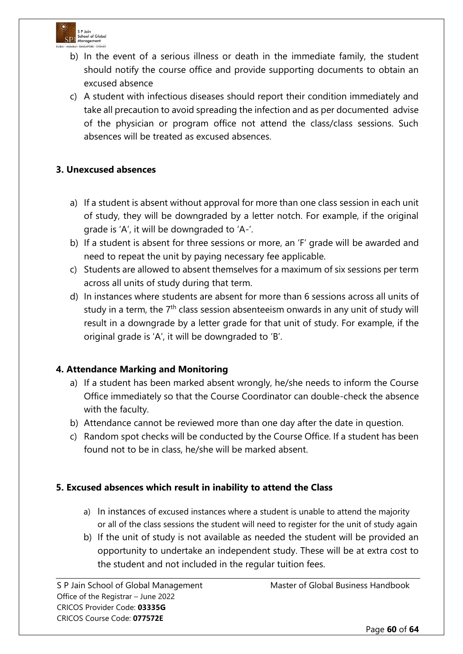

- b) In the event of a serious illness or death in the immediate family, the student should notify the course office and provide supporting documents to obtain an excused absence
- c) A student with infectious diseases should report their condition immediately and take all precaution to avoid spreading the infection and as per documented advise of the physician or program office not attend the class/class sessions. Such absences will be treated as excused absences.

# **3. Unexcused absences**

- a) If a student is absent without approval for more than one class session in each unit of study, they will be downgraded by a letter notch. For example, if the original grade is 'A', it will be downgraded to 'A-'.
- b) If a student is absent for three sessions or more, an 'F' grade will be awarded and need to repeat the unit by paying necessary fee applicable.
- c) Students are allowed to absent themselves for a maximum of six sessions per term across all units of study during that term.
- d) In instances where students are absent for more than 6 sessions across all units of study in a term, the 7<sup>th</sup> class session absenteeism onwards in any unit of study will result in a downgrade by a letter grade for that unit of study. For example, if the original grade is 'A', it will be downgraded to 'B'.

### **4. Attendance Marking and Monitoring**

- a) If a student has been marked absent wrongly, he/she needs to inform the Course Office immediately so that the Course Coordinator can double-check the absence with the faculty.
- b) Attendance cannot be reviewed more than one day after the date in question.
- c) Random spot checks will be conducted by the Course Office. If a student has been found not to be in class, he/she will be marked absent.

### **5. Excused absences which result in inability to attend the Class**

- a) In instances of excused instances where a student is unable to attend the majority or all of the class sessions the student will need to register for the unit of study again
- b) If the unit of study is not available as needed the student will be provided an opportunity to undertake an independent study. These will be at extra cost to the student and not included in the regular tuition fees.

Office of the Registrar – June 2022 CRICOS Provider Code: **03335G** CRICOS Course Code: **077572E**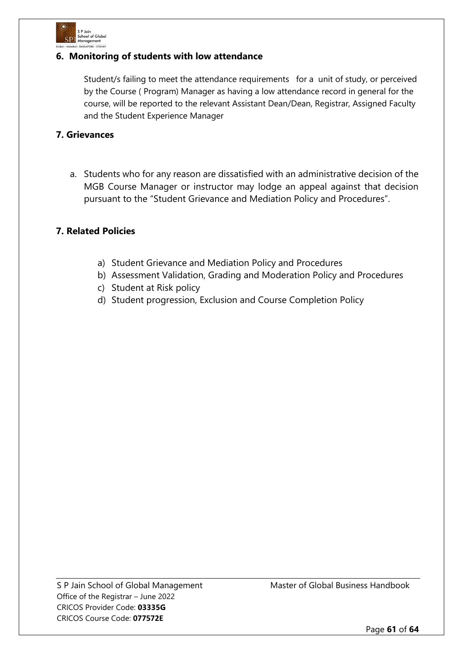

### **6. Monitoring of students with low attendance**

Student/s failing to meet the attendance requirements for a unit of study, or perceived by the Course ( Program) Manager as having a low attendance record in general for the course, will be reported to the relevant Assistant Dean/Dean, Registrar, Assigned Faculty and the Student Experience Manager

#### **7. Grievances**

a. Students who for any reason are dissatisfied with an administrative decision of the MGB Course Manager or instructor may lodge an appeal against that decision pursuant to the "Student Grievance and Mediation Policy and Procedures".

# **7. Related Policies**

- a) Student Grievance and Mediation Policy and Procedures
- b) Assessment Validation, Grading and Moderation Policy and Procedures
- c) Student at Risk policy
- d) Student progression, Exclusion and Course Completion Policy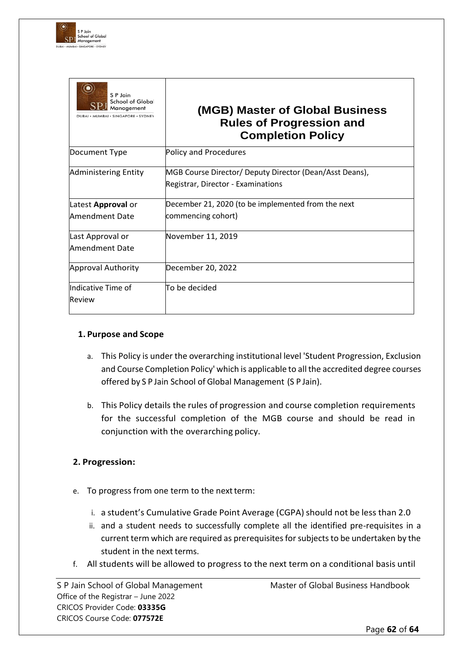

| S P Jain<br>School of Global<br>Management<br>DUBAI · MUMBAI · SINGAPORE · SYDNEY | (MGB) Master of Global Business<br><b>Rules of Progression and</b><br><b>Completion Policy</b> |
|-----------------------------------------------------------------------------------|------------------------------------------------------------------------------------------------|
| Document Type                                                                     | Policy and Procedures                                                                          |
| <b>Administering Entity</b>                                                       | MGB Course Director/ Deputy Director (Dean/Asst Deans),<br>Registrar, Director - Examinations  |
| Latest Approval or                                                                | December 21, 2020 (to be implemented from the next                                             |
| Amendment Date                                                                    | commencing cohort)                                                                             |
| Last Approval or                                                                  | November 11, 2019                                                                              |
| Amendment Date                                                                    |                                                                                                |
| <b>Approval Authority</b>                                                         | December 20, 2022                                                                              |
| Indicative Time of                                                                | To be decided                                                                                  |
| Review                                                                            |                                                                                                |

#### **1. Purpose and Scope**

- a. This Policy is under the overarching institutional level 'Student Progression, Exclusion and Course Completion Policy' which is applicable to all the accredited degree courses offered by S P Jain School of Global Management (S P Jain).
- b. This Policy details the rules of progression and course completion requirements for the successful completion of the MGB course and should be read in conjunction with the overarching policy.

#### **2. Progression:**

- e. To progress from one term to the next term:
	- i. a student's Cumulative Grade Point Average (CGPA) should not be less than 2.0
	- ii. and a student needs to successfully complete all the identified pre-requisites in a current term which are required as prerequisites for subjects to be undertaken by the student in the next terms.
- f. All students will be allowed to progress to the next term on a conditional basis until

Office of the Registrar – June 2022 CRICOS Provider Code: **03335G** CRICOS Course Code: **077572E**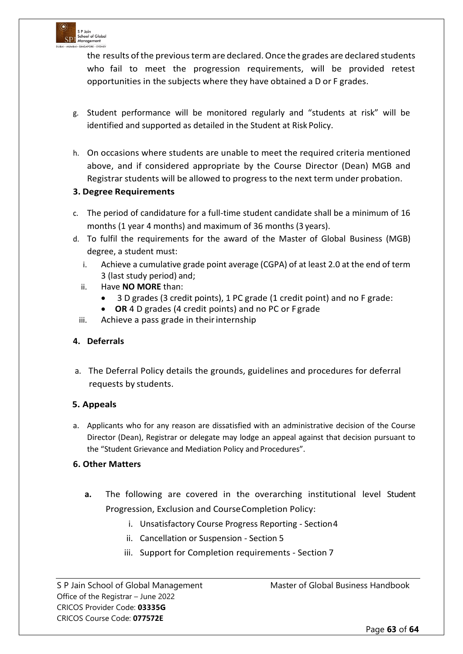

the results of the previous term are declared. Once the grades are declared students who fail to meet the progression requirements, will be provided retest opportunities in the subjects where they have obtained a D or F grades.

- g. Student performance will be monitored regularly and "students at risk" will be identified and supported as detailed in the Student at Risk Policy.
- h. On occasions where students are unable to meet the required criteria mentioned above, and if considered appropriate by the Course Director (Dean) MGB and Registrar students will be allowed to progress to the next term under probation.

#### **3. Degree Requirements**

- c. The period of candidature for a full-time student candidate shall be a minimum of 16 months (1 year 4 months) and maximum of 36 months (3 years).
- d. To fulfil the requirements for the award of the Master of Global Business (MGB) degree, a student must:
	- i. Achieve a cumulative grade point average (CGPA) of at least 2.0 at the end of term 3 (last study period) and;
	- ii. Have **NO MORE** than:
		- 3 D grades (3 credit points), 1 PC grade (1 credit point) and no F grade:
		- **OR** 4 D grades (4 credit points) and no PC or F grade
	- iii. Achieve a pass grade in their internship

#### **4. Deferrals**

a. The Deferral Policy details the grounds, guidelines and procedures for deferral requests by students.

#### **5. Appeals**

a. Applicants who for any reason are dissatisfied with an administrative decision of the Course Director (Dean), Registrar or delegate may lodge an appeal against that decision pursuant to the "Student Grievance and Mediation Policy and Procedures".

#### **6. Other Matters**

- **a.** The following are covered in the overarching institutional level Student Progression, Exclusion and CourseCompletion Policy:
	- i. Unsatisfactory Course Progress Reporting Section4
	- ii. Cancellation or Suspension Section 5
	- iii. Support for Completion requirements Section 7